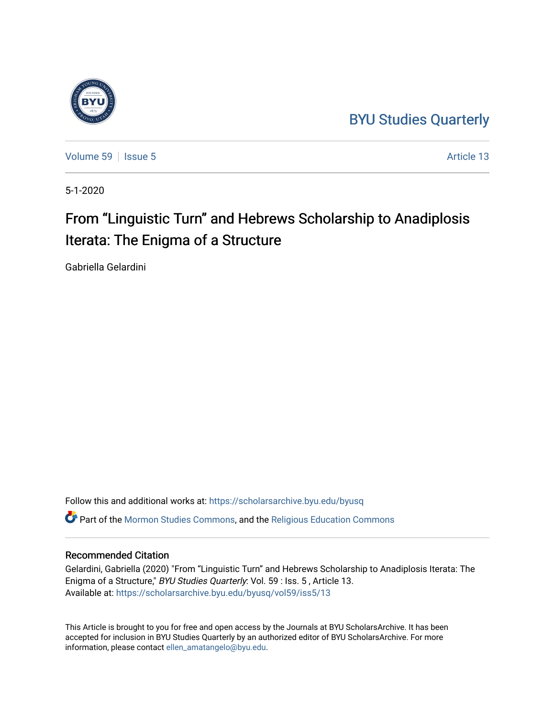## [BYU Studies Quarterly](https://scholarsarchive.byu.edu/byusq)



[Volume 59](https://scholarsarchive.byu.edu/byusq/vol59) | [Issue 5](https://scholarsarchive.byu.edu/byusq/vol59/iss5) Article 13

5-1-2020

# From "Linguistic Turn" and Hebrews Scholarship to Anadiplosis Iterata: The Enigma of a Structure

Gabriella Gelardini

Follow this and additional works at: [https://scholarsarchive.byu.edu/byusq](https://scholarsarchive.byu.edu/byusq?utm_source=scholarsarchive.byu.edu%2Fbyusq%2Fvol59%2Fiss5%2F13&utm_medium=PDF&utm_campaign=PDFCoverPages)  Part of the [Mormon Studies Commons](http://network.bepress.com/hgg/discipline/1360?utm_source=scholarsarchive.byu.edu%2Fbyusq%2Fvol59%2Fiss5%2F13&utm_medium=PDF&utm_campaign=PDFCoverPages), and the [Religious Education Commons](http://network.bepress.com/hgg/discipline/1414?utm_source=scholarsarchive.byu.edu%2Fbyusq%2Fvol59%2Fiss5%2F13&utm_medium=PDF&utm_campaign=PDFCoverPages) 

## Recommended Citation

Gelardini, Gabriella (2020) "From "Linguistic Turn" and Hebrews Scholarship to Anadiplosis Iterata: The Enigma of a Structure," BYU Studies Quarterly: Vol. 59 : Iss. 5, Article 13. Available at: [https://scholarsarchive.byu.edu/byusq/vol59/iss5/13](https://scholarsarchive.byu.edu/byusq/vol59/iss5/13?utm_source=scholarsarchive.byu.edu%2Fbyusq%2Fvol59%2Fiss5%2F13&utm_medium=PDF&utm_campaign=PDFCoverPages) 

This Article is brought to you for free and open access by the Journals at BYU ScholarsArchive. It has been accepted for inclusion in BYU Studies Quarterly by an authorized editor of BYU ScholarsArchive. For more information, please contact [ellen\\_amatangelo@byu.edu.](mailto:ellen_amatangelo@byu.edu)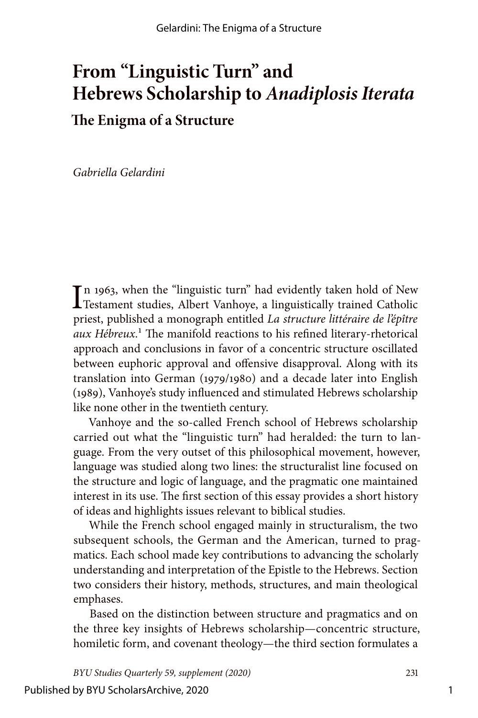## **From "Linguistic Turn" and Hebrews Scholarship to** *Anadiplosis Iterata* **The Enigma of a Structure**

*Gabriella Gelardini*

In 1963, when the "linguistic turn" had evidently taken hold of New Testament studies, Albert Vanhoye, a linguistically trained Catholic Testament studies, Albert Vanhoye, a linguistically trained Catholic priest, published a monograph entitled *La structure littéraire de l'épître aux Hébreux*.1 The manifold reactions to his refined literary-rhetorical approach and conclusions in favor of a concentric structure oscillated between euphoric approval and offensive disapproval. Along with its translation into German (1979/1980) and a decade later into English (1989), Vanhoye's study influenced and stimulated Hebrews scholarship like none other in the twentieth century.

Vanhoye and the so-called French school of Hebrews scholarship carried out what the "linguistic turn" had heralded: the turn to language. From the very outset of this philosophical movement, however, language was studied along two lines: the structuralist line focused on the structure and logic of language, and the pragmatic one maintained interest in its use. The first section of this essay provides a short history of ideas and highlights issues relevant to biblical studies.

While the French school engaged mainly in structuralism, the two subsequent schools, the German and the American, turned to pragmatics. Each school made key contributions to advancing the scholarly understanding and interpretation of the Epistle to the Hebrews. Section two considers their history, methods, structures, and main theological emphases.

Based on the distinction between structure and pragmatics and on the three key insights of Hebrews scholarship—concentric structure, homiletic form, and covenant theology—the third section formulates a

*BYU Studies Quarterly 59, supplement (2020)* 231

1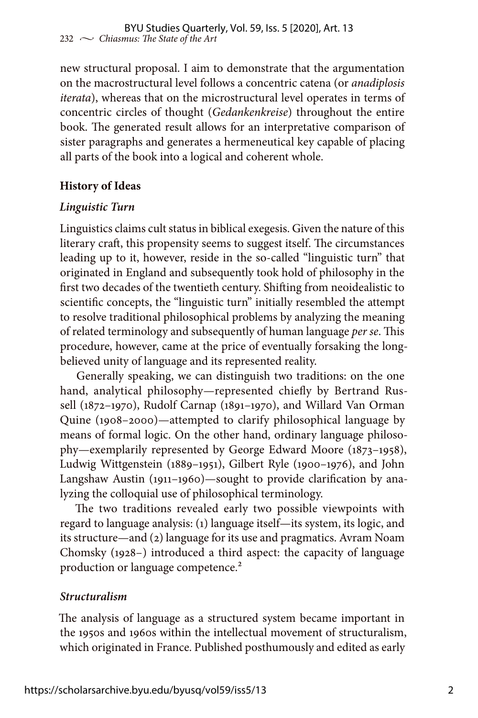new structural proposal. I aim to demonstrate that the argumentation on the macrostructural level follows a concentric catena (or *anadiplosis iterata*), whereas that on the microstructural level operates in terms of concentric circles of thought (*Gedankenkreise*) throughout the entire book. The generated result allows for an interpretative comparison of sister paragraphs and generates a hermeneutical key capable of placing all parts of the book into a logical and coherent whole.

## **History of Ideas**

## *Linguistic Turn*

Linguistics claims cult status in biblical exegesis. Given the nature of this literary craft, this propensity seems to suggest itself. The circumstances leading up to it, however, reside in the so-called "linguistic turn" that originated in England and subsequently took hold of philosophy in the first two decades of the twentieth century. Shifting from neoidealistic to scientific concepts, the "linguistic turn" initially resembled the attempt to resolve traditional philosophical problems by analyzing the meaning of related terminology and subsequently of human language *per se*. This procedure, however, came at the price of eventually forsaking the longbelieved unity of language and its represented reality.

Generally speaking, we can distinguish two traditions: on the one hand, analytical philosophy—represented chiefly by Bertrand Russell (1872–1970), Rudolf Carnap (1891–1970), and Willard Van Orman Quine (1908–2000)—attempted to clarify philosophical language by means of formal logic. On the other hand, ordinary language philosophy—exemplarily represented by George Edward Moore (1873–1958), Ludwig Wittgenstein (1889–1951), Gilbert Ryle (1900–1976), and John Langshaw Austin (1911–1960)—sought to provide clarification by analyzing the colloquial use of philosophical terminology.

The two traditions revealed early two possible viewpoints with regard to language analysis: (1) language itself—its system, its logic, and its structure—and (2) language for its use and pragmatics. Avram Noam Chomsky (1928–) introduced a third aspect: the capacity of language production or language competence.<sup>2</sup>

## *Structuralism*

The analysis of language as a structured system became important in the 1950s and 1960s within the intellectual movement of structuralism, which originated in France. Published posthumously and edited as early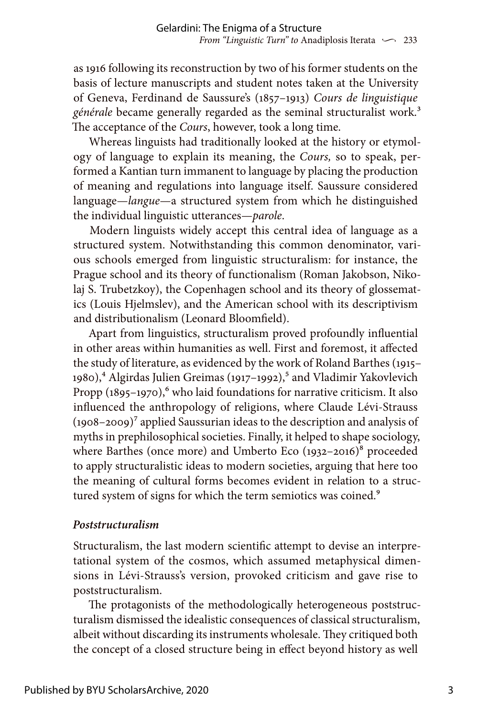as 1916 following its reconstruction by two of his former students on the basis of lecture manuscripts and student notes taken at the University of Geneva, Ferdinand de Saussure's (1857–1913) *Cours de linguistique générale* became generally regarded as the seminal structuralist work.3 The acceptance of the *Cours*, however, took a long time.

Whereas linguists had traditionally looked at the history or etymology of language to explain its meaning, the *Cours,* so to speak, performed a Kantian turn immanent to language by placing the production of meaning and regulations into language itself. Saussure considered language—*langue*—a structured system from which he distinguished the individual linguistic utterances—*parole*.

Modern linguists widely accept this central idea of language as a structured system. Notwithstanding this common denominator, various schools emerged from linguistic structuralism: for instance, the Prague school and its theory of functionalism (Roman Jakobson, Nikolaj S. Trubetzkoy), the Copenhagen school and its theory of glossematics (Louis Hjelmslev), and the American school with its descriptivism and distributionalism (Leonard Bloomfield).

Apart from linguistics, structuralism proved profoundly influential in other areas within humanities as well. First and foremost, it affected the study of literature, as evidenced by the work of Roland Barthes (1915– 1980),<sup>4</sup> Algirdas Julien Greimas (1917–1992),<sup>5</sup> and Vladimir Yakovlevich Propp  $(1895-1970)$ ,<sup>6</sup> who laid foundations for narrative criticism. It also influenced the anthropology of religions, where Claude Lévi-Strauss  $(1908 - 2009)^7$  applied Saussurian ideas to the description and analysis of myths in prephilosophical societies. Finally, it helped to shape sociology, where Barthes (once more) and Umberto Eco (1932-2016)<sup>8</sup> proceeded to apply structuralistic ideas to modern societies, arguing that here too the meaning of cultural forms becomes evident in relation to a structured system of signs for which the term semiotics was coined.<sup>9</sup>

## *Poststructuralism*

Structuralism, the last modern scientific attempt to devise an interpretational system of the cosmos, which assumed metaphysical dimensions in Lévi-Strauss's version, provoked criticism and gave rise to poststructuralism.

The protagonists of the methodologically heterogeneous poststructuralism dismissed the idealistic consequences of classical structuralism, albeit without discarding its instruments wholesale. They critiqued both the concept of a closed structure being in effect beyond history as well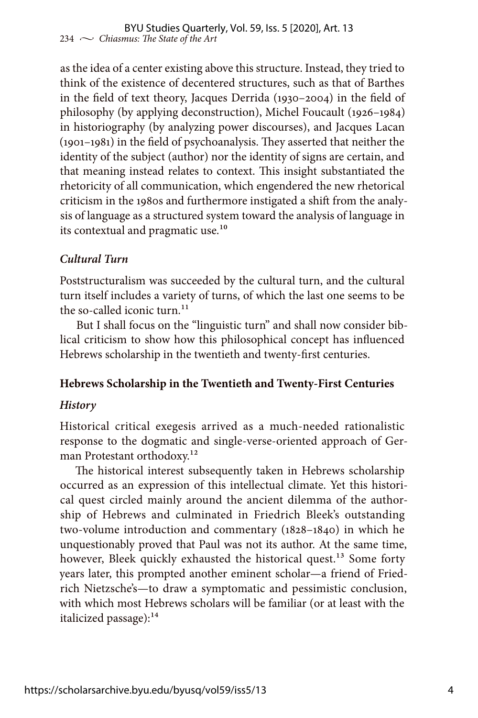as the idea of a center existing above this structure. Instead, they tried to think of the existence of decentered structures, such as that of Barthes in the field of text theory, Jacques Derrida (1930–2004) in the field of philosophy (by applying deconstruction), Michel Foucault (1926–1984) in historiography (by analyzing power discourses), and Jacques Lacan (1901–1981) in the field of psychoanalysis. They asserted that neither the identity of the subject (author) nor the identity of signs are certain, and that meaning instead relates to context. This insight substantiated the rhetoricity of all communication, which engendered the new rhetorical criticism in the 1980s and furthermore instigated a shift from the analysis of language as a structured system toward the analysis of language in its contextual and pragmatic use.<sup>10</sup>

## *Cultural Turn*

Poststructuralism was succeeded by the cultural turn, and the cultural turn itself includes a variety of turns, of which the last one seems to be the so-called iconic turn.<sup>11</sup>

But I shall focus on the "linguistic turn" and shall now consider biblical criticism to show how this philosophical concept has influenced Hebrews scholarship in the twentieth and twenty-first centuries.

## **Hebrews Scholarship in the Twentieth and Twenty-First Centuries**

## *History*

Historical critical exegesis arrived as a much-needed rationalistic response to the dogmatic and single-verse-oriented approach of German Protestant orthodoxy.<sup>12</sup>

The historical interest subsequently taken in Hebrews scholarship occurred as an expression of this intellectual climate. Yet this historical quest circled mainly around the ancient dilemma of the authorship of Hebrews and culminated in Friedrich Bleek's outstanding two-volume introduction and commentary (1828–1840) in which he unquestionably proved that Paul was not its author. At the same time, however, Bleek quickly exhausted the historical quest.<sup>13</sup> Some forty years later, this prompted another eminent scholar—a friend of Friedrich Nietzsche's—to draw a symptomatic and pessimistic conclusion, with which most Hebrews scholars will be familiar (or at least with the italicized passage):<sup>14</sup>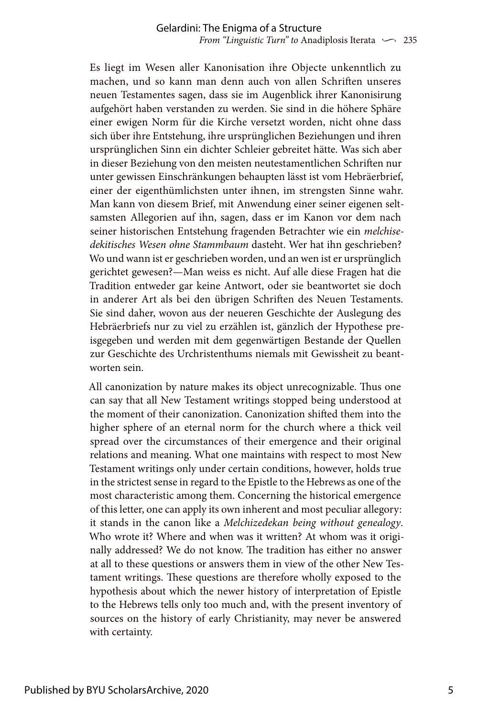Es liegt im Wesen aller Kanonisation ihre Objecte unkenntlich zu machen, und so kann man denn auch von allen Schriften unseres neuen Testamentes sagen, dass sie im Augenblick ihrer Kanonisirung aufgehört haben verstanden zu werden. Sie sind in die höhere Sphäre einer ewigen Norm für die Kirche versetzt worden, nicht ohne dass sich über ihre Entstehung, ihre ursprünglichen Beziehungen und ihren ursprünglichen Sinn ein dichter Schleier gebreitet hätte. Was sich aber in dieser Beziehung von den meisten neutestamentlichen Schriften nur unter gewissen Einschränkungen behaupten lässt ist vom Hebräerbrief, einer der eigenthümlichsten unter ihnen, im strengsten Sinne wahr. Man kann von diesem Brief, mit Anwendung einer seiner eigenen seltsamsten Allegorien auf ihn, sagen, dass er im Kanon vor dem nach seiner historischen Entstehung fragenden Betrachter wie ein *melchisedekitisches Wesen ohne Stammbaum* dasteht. Wer hat ihn geschrieben? Wo und wann ist er geschrieben worden, und an wen ist er ursprünglich gerichtet gewesen?—Man weiss es nicht. Auf alle diese Fragen hat die Tradition entweder gar keine Antwort, oder sie beantwortet sie doch in anderer Art als bei den übrigen Schriften des Neuen Testaments. Sie sind daher, wovon aus der neueren Geschichte der Auslegung des Hebräerbriefs nur zu viel zu erzählen ist, gänzlich der Hypothese preisgegeben und werden mit dem gegenwärtigen Bestande der Quellen zur Geschichte des Urchristenthums niemals mit Gewissheit zu beantworten sein.

All canonization by nature makes its object unrecognizable. Thus one can say that all New Testament writings stopped being understood at the moment of their canonization. Canonization shifted them into the higher sphere of an eternal norm for the church where a thick veil spread over the circumstances of their emergence and their original relations and meaning. What one maintains with respect to most New Testament writings only under certain conditions, however, holds true in the strictest sense in regard to the Epistle to the Hebrews as one of the most characteristic among them. Concerning the historical emergence of this letter, one can apply its own inherent and most peculiar allegory: it stands in the canon like a *Melchizedekan being without genealogy*. Who wrote it? Where and when was it written? At whom was it originally addressed? We do not know. The tradition has either no answer at all to these questions or answers them in view of the other New Testament writings. These questions are therefore wholly exposed to the hypothesis about which the newer history of interpretation of Epistle to the Hebrews tells only too much and, with the present inventory of sources on the history of early Christianity, may never be answered with certainty.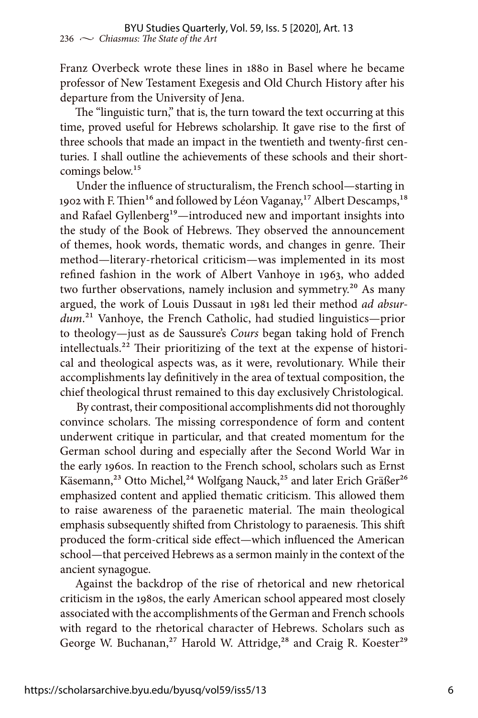Franz Overbeck wrote these lines in 1880 in Basel where he became professor of New Testament Exegesis and Old Church History after his departure from the University of Jena.

The "linguistic turn," that is, the turn toward the text occurring at this time, proved useful for Hebrews scholarship. It gave rise to the first of three schools that made an impact in the twentieth and twenty-first centuries. I shall outline the achievements of these schools and their shortcomings below.15

Under the influence of structuralism, the French school—starting in 1902 with F. Thien<sup>16</sup> and followed by Léon Vaganay,<sup>17</sup> Albert Descamps,<sup>18</sup> and Rafael Gyllenberg<sup>19</sup>—introduced new and important insights into the study of the Book of Hebrews. They observed the announcement of themes, hook words, thematic words, and changes in genre. Their method—literary-rhetorical criticism—was implemented in its most refined fashion in the work of Albert Vanhoye in 1963, who added two further observations, namely inclusion and symmetry.<sup>20</sup> As many argued, the work of Louis Dussaut in 1981 led their method *ad absurdum*.21 Vanhoye, the French Catholic, had studied linguistics—prior to theology—just as de Saussure's *Cours* began taking hold of French intellectuals.22 Their prioritizing of the text at the expense of historical and theological aspects was, as it were, revolutionary. While their accomplishments lay definitively in the area of textual composition, the chief theological thrust remained to this day exclusively Christological.

By contrast, their compositional accomplishments did not thoroughly convince scholars. The missing correspondence of form and content underwent critique in particular, and that created momentum for the German school during and especially after the Second World War in the early 1960s. In reaction to the French school, scholars such as Ernst Käsemann,<sup>23</sup> Otto Michel,<sup>24</sup> Wolfgang Nauck,<sup>25</sup> and later Erich Gräßer<sup>26</sup> emphasized content and applied thematic criticism. This allowed them to raise awareness of the paraenetic material. The main theological emphasis subsequently shifted from Christology to paraenesis. This shift produced the form-critical side effect—which influenced the American school—that perceived Hebrews as a sermon mainly in the context of the ancient synagogue.

Against the backdrop of the rise of rhetorical and new rhetorical criticism in the 1980s, the early American school appeared most closely associated with the accomplishments of the German and French schools with regard to the rhetorical character of Hebrews. Scholars such as George W. Buchanan,<sup>27</sup> Harold W. Attridge,<sup>28</sup> and Craig R. Koester<sup>29</sup>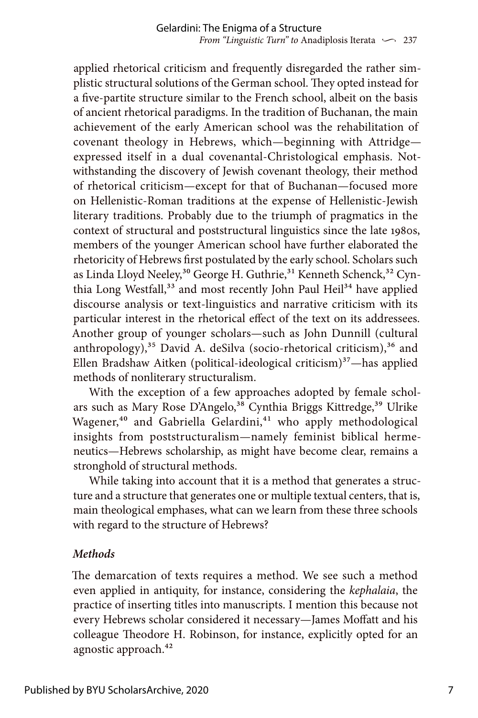applied rhetorical criticism and frequently disregarded the rather simplistic structural solutions of the German school. They opted instead for a five-partite structure similar to the French school, albeit on the basis of ancient rhetorical paradigms. In the tradition of Buchanan, the main achievement of the early American school was the rehabilitation of covenant theology in Hebrews, which—beginning with Attridge expressed itself in a dual covenantal-Christological emphasis. Notwithstanding the discovery of Jewish covenant theology, their method of rhetorical criticism—except for that of Buchanan—focused more on Hellenistic-Roman traditions at the expense of Hellenistic-Jewish literary traditions. Probably due to the triumph of pragmatics in the context of structural and poststructural linguistics since the late 1980s, members of the younger American school have further elaborated the rhetoricity of Hebrews first postulated by the early school. Scholars such as Linda Lloyd Neeley,<sup>30</sup> George H. Guthrie,<sup>31</sup> Kenneth Schenck,<sup>32</sup> Cynthia Long Westfall,<sup>33</sup> and most recently John Paul Heil<sup>34</sup> have applied discourse analysis or text-linguistics and narrative criticism with its particular interest in the rhetorical effect of the text on its addressees. Another group of younger scholars—such as John Dunnill (cultural anthropology),<sup>35</sup> David A. deSilva (socio-rhetorical criticism),<sup>36</sup> and Ellen Bradshaw Aitken (political-ideological criticism) $37$ —has applied methods of nonliterary structuralism.

With the exception of a few approaches adopted by female scholars such as Mary Rose D'Angelo,<sup>38</sup> Cynthia Briggs Kittredge,<sup>39</sup> Ulrike Wagener,<sup>40</sup> and Gabriella Gelardini,<sup>41</sup> who apply methodological insights from poststructuralism—namely feminist biblical hermeneutics—Hebrews scholarship, as might have become clear, remains a stronghold of structural methods.

While taking into account that it is a method that generates a structure and a structure that generates one or multiple textual centers, that is, main theological emphases, what can we learn from these three schools with regard to the structure of Hebrews?

## *Methods*

The demarcation of texts requires a method. We see such a method even applied in antiquity, for instance, considering the *kephalaia*, the practice of inserting titles into manuscripts. I mention this because not every Hebrews scholar considered it necessary—James Moffatt and his colleague Theodore H. Robinson, for instance, explicitly opted for an agnostic approach.<sup>42</sup>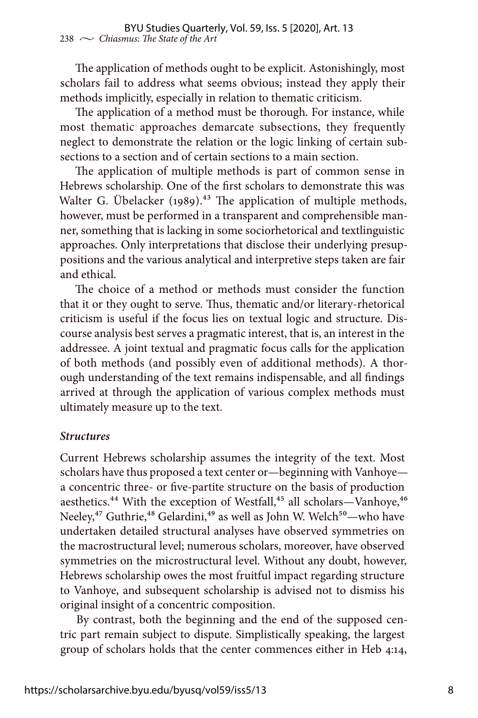The application of methods ought to be explicit. Astonishingly, most scholars fail to address what seems obvious; instead they apply their methods implicitly, especially in relation to thematic criticism.

The application of a method must be thorough. For instance, while most thematic approaches demarcate subsections, they frequently neglect to demonstrate the relation or the logic linking of certain subsections to a section and of certain sections to a main section.

The application of multiple methods is part of common sense in Hebrews scholarship. One of the first scholars to demonstrate this was Walter G. Übelacker (1989).<sup>43</sup> The application of multiple methods, however, must be performed in a transparent and comprehensible manner, something that is lacking in some sociorhetorical and textlinguistic approaches. Only interpretations that disclose their underlying presuppositions and the various analytical and interpretive steps taken are fair and ethical.

The choice of a method or methods must consider the function that it or they ought to serve. Thus, thematic and/or literary-rhetorical criticism is useful if the focus lies on textual logic and structure. Discourse analysis best serves a pragmatic interest, that is, an interest in the addressee. A joint textual and pragmatic focus calls for the application of both methods (and possibly even of additional methods). A thorough understanding of the text remains indispensable, and all findings arrived at through the application of various complex methods must ultimately measure up to the text.

#### *Structures*

Current Hebrews scholarship assumes the integrity of the text. Most scholars have thus proposed a text center or—beginning with Vanhoye a concentric three- or five-partite structure on the basis of production aesthetics.<sup>44</sup> With the exception of Westfall,<sup>45</sup> all scholars-Vanhoye,<sup>46</sup> Neeley,<sup>47</sup> Guthrie,<sup>48</sup> Gelardini,<sup>49</sup> as well as John W. Welch<sup>50</sup>—who have undertaken detailed structural analyses have observed symmetries on the macrostructural level; numerous scholars, moreover, have observed symmetries on the microstructural level. Without any doubt, however, Hebrews scholarship owes the most fruitful impact regarding structure to Vanhoye, and subsequent scholarship is advised not to dismiss his original insight of a concentric composition.

By contrast, both the beginning and the end of the supposed centric part remain subject to dispute. Simplistically speaking, the largest group of scholars holds that the center commences either in Heb 4:14,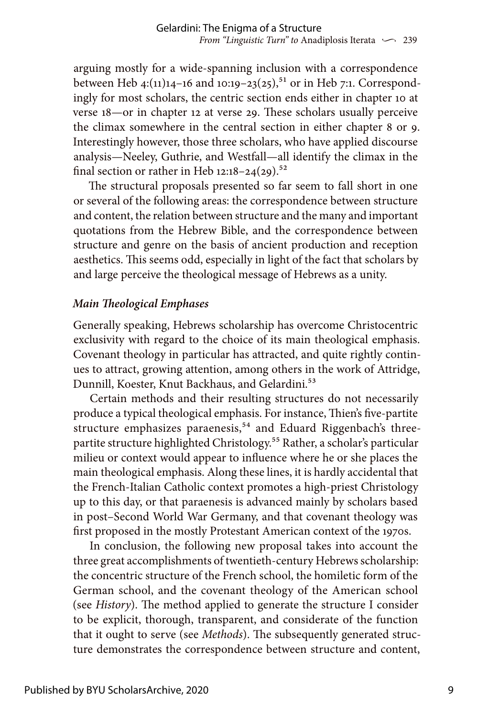arguing mostly for a wide-spanning inclusion with a correspondence between Heb  $4:(11)14-16$  and  $10:19-23(25)$ ,<sup>51</sup> or in Heb 7:1. Correspondingly for most scholars, the centric section ends either in chapter 10 at verse 18—or in chapter 12 at verse 29. These scholars usually perceive the climax somewhere in the central section in either chapter 8 or 9. Interestingly however, those three scholars, who have applied discourse analysis—Neeley, Guthrie, and Westfall—all identify the climax in the final section or rather in Heb  $12:18-24(29).$ <sup>52</sup>

The structural proposals presented so far seem to fall short in one or several of the following areas: the correspondence between structure and content, the relation between structure and the many and important quotations from the Hebrew Bible, and the correspondence between structure and genre on the basis of ancient production and reception aesthetics. This seems odd, especially in light of the fact that scholars by and large perceive the theological message of Hebrews as a unity.

## *Main Theological Emphases*

Generally speaking, Hebrews scholarship has overcome Christocentric exclusivity with regard to the choice of its main theological emphasis. Covenant theology in particular has attracted, and quite rightly continues to attract, growing attention, among others in the work of Attridge, Dunnill, Koester, Knut Backhaus, and Gelardini.<sup>53</sup>

Certain methods and their resulting structures do not necessarily produce a typical theological emphasis. For instance, Thien's five-partite structure emphasizes paraenesis,<sup>54</sup> and Eduard Riggenbach's threepartite structure highlighted Christology.<sup>55</sup> Rather, a scholar's particular milieu or context would appear to influence where he or she places the main theological emphasis. Along these lines, it is hardly accidental that the French-Italian Catholic context promotes a high-priest Christology up to this day, or that paraenesis is advanced mainly by scholars based in post–Second World War Germany, and that covenant theology was first proposed in the mostly Protestant American context of the 1970s.

In conclusion, the following new proposal takes into account the three great accomplishments of twentieth-century Hebrews scholarship: the concentric structure of the French school, the homiletic form of the German school, and the covenant theology of the American school (see *History*). The method applied to generate the structure I consider to be explicit, thorough, transparent, and considerate of the function that it ought to serve (see *Methods*). The subsequently generated structure demonstrates the correspondence between structure and content,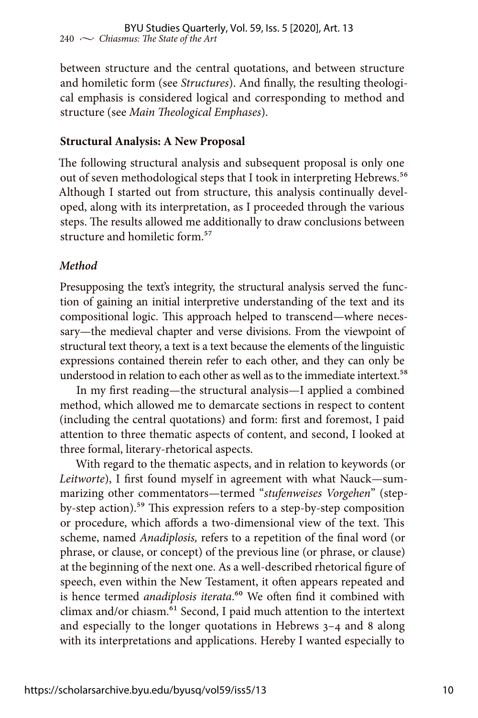between structure and the central quotations, and between structure and homiletic form (see *Structures*). And finally, the resulting theological emphasis is considered logical and corresponding to method and structure (see *Main Theological Emphases*).

## **Structural Analysis: A New Proposal**

The following structural analysis and subsequent proposal is only one out of seven methodological steps that I took in interpreting Hebrews.<sup>56</sup> Although I started out from structure, this analysis continually developed, along with its interpretation, as I proceeded through the various steps. The results allowed me additionally to draw conclusions between structure and homiletic form.<sup>57</sup>

## *Method*

Presupposing the text's integrity, the structural analysis served the function of gaining an initial interpretive understanding of the text and its compositional logic. This approach helped to transcend—where necessary—the medieval chapter and verse divisions. From the viewpoint of structural text theory, a text is a text because the elements of the linguistic expressions contained therein refer to each other, and they can only be understood in relation to each other as well as to the immediate intertext.<sup>58</sup>

In my first reading—the structural analysis—I applied a combined method, which allowed me to demarcate sections in respect to content (including the central quotations) and form: first and foremost, I paid attention to three thematic aspects of content, and second, I looked at three formal, literary-rhetorical aspects.

With regard to the thematic aspects, and in relation to keywords (or *Leitworte*), I first found myself in agreement with what Nauck—summarizing other commentators—termed "*stufenweises Vorgehen*" (stepby-step action).<sup>59</sup> This expression refers to a step-by-step composition or procedure, which affords a two-dimensional view of the text. This scheme, named *Anadiplosis,* refers to a repetition of the final word (or phrase, or clause, or concept) of the previous line (or phrase, or clause) at the beginning of the next one. As a well-described rhetorical figure of speech, even within the New Testament, it often appears repeated and is hence termed *anadiplosis iterata*.<sup>60</sup> We often find it combined with climax and/or chiasm. $\overline{61}$  Second, I paid much attention to the intertext and especially to the longer quotations in Hebrews 3–4 and 8 along with its interpretations and applications. Hereby I wanted especially to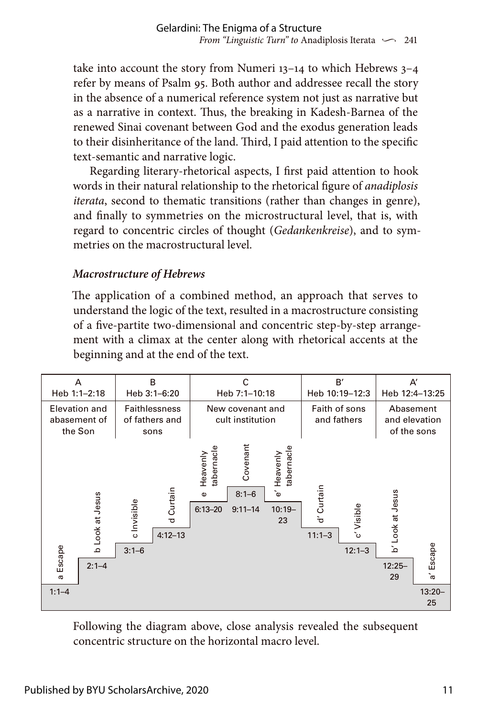take into account the story from Numeri 13–14 to which Hebrews 3–4 refer by means of Psalm 95. Both author and addressee recall the story in the absence of a numerical reference system not just as narrative but as a narrative in context. Thus, the breaking in Kadesh-Barnea of the renewed Sinai covenant between God and the exodus generation leads to their disinheritance of the land. Third, I paid attention to the specific text-semantic and narrative logic.

Regarding literary-rhetorical aspects, I first paid attention to hook words in their natural relationship to the rhetorical figure of *anadiplosis iterata*, second to thematic transitions (rather than changes in genre), and finally to symmetries on the microstructural level, that is, with regard to concentric circles of thought (*Gedankenkreise*), and to symmetries on the macrostructural level.

## *Macrostructure of Hebrews*

The application of a combined method, an approach that serves to understand the logic of the text, resulted in a macrostructure consisting of a five-partite two-dimensional and concentric step-by-step arrangement with a climax at the center along with rhetorical accents at the beginning and at the end of the text.



Following the diagram above, close analysis revealed the subsequent concentric structure on the horizontal macro level.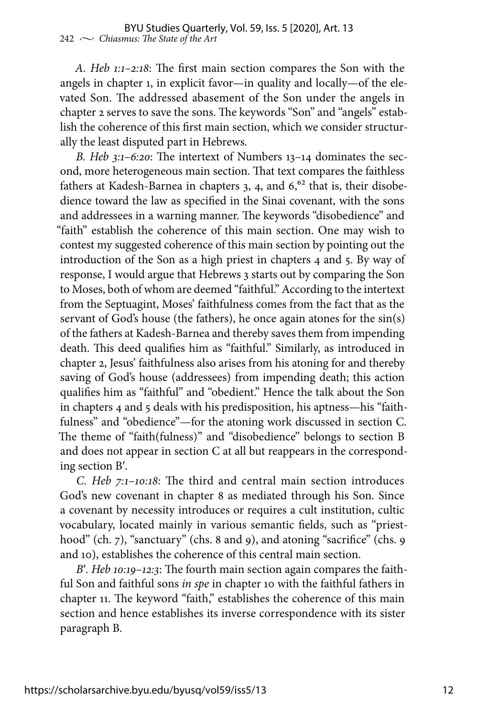*A. Heb 1:1–2:18*: The first main section compares the Son with the angels in chapter 1, in explicit favor—in quality and locally—of the elevated Son. The addressed abasement of the Son under the angels in chapter 2 serves to save the sons. The keywords "Son" and "angels" establish the coherence of this first main section, which we consider structurally the least disputed part in Hebrews.

*B. Heb 3:1–6:20*: The intertext of Numbers 13–14 dominates the second, more heterogeneous main section. That text compares the faithless fathers at Kadesh-Barnea in chapters  $3, 4$ , and  $6,$ <sup>62</sup> that is, their disobedience toward the law as specified in the Sinai covenant, with the sons and addressees in a warning manner. The keywords "disobedience" and "faith" establish the coherence of this main section. One may wish to contest my suggested coherence of this main section by pointing out the introduction of the Son as a high priest in chapters 4 and 5. By way of response, I would argue that Hebrews 3 starts out by comparing the Son to Moses, both of whom are deemed "faithful." According to the intertext from the Septuagint, Moses' faithfulness comes from the fact that as the servant of God's house (the fathers), he once again atones for the sin(s) of the fathers at Kadesh-Barnea and thereby saves them from impending death. This deed qualifies him as "faithful." Similarly, as introduced in chapter 2, Jesus' faithfulness also arises from his atoning for and thereby saving of God's house (addressees) from impending death; this action qualifies him as "faithful" and "obedient." Hence the talk about the Son in chapters 4 and 5 deals with his predisposition, his aptness—his "faithfulness" and "obedience"—for the atoning work discussed in section C. The theme of "faith(fulness)" and "disobedience" belongs to section B and does not appear in section C at all but reappears in the corresponding section Bʹ.

*C. Heb 7:1–10:18*: The third and central main section introduces God's new covenant in chapter 8 as mediated through his Son. Since a covenant by necessity introduces or requires a cult institution, cultic vocabulary, located mainly in various semantic fields, such as "priesthood" (ch. 7), "sanctuary" (chs. 8 and 9), and atoning "sacrifice" (chs. 9 and 10), establishes the coherence of this central main section.

*B*ʹ*. Heb 10:19–12:3*: The fourth main section again compares the faithful Son and faithful sons *in spe* in chapter 10 with the faithful fathers in chapter 11. The keyword "faith," establishes the coherence of this main section and hence establishes its inverse correspondence with its sister paragraph B.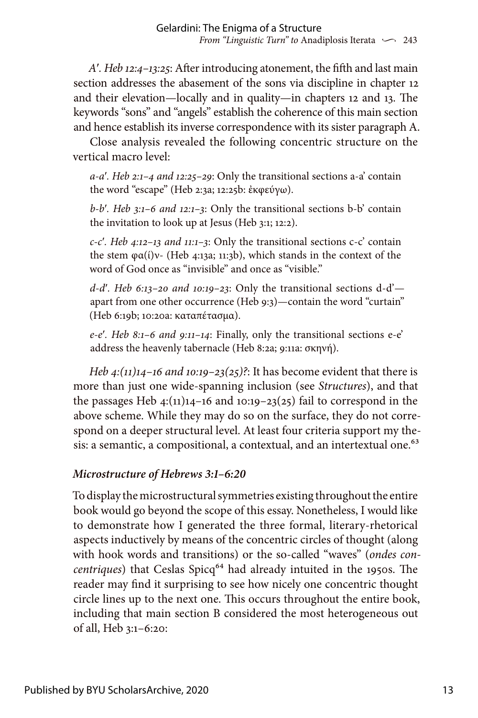*A*ʹ*. Heb 12:4–13:25*: After introducing atonement, the fifth and last main section addresses the abasement of the sons via discipline in chapter 12 and their elevation—locally and in quality—in chapters 12 and 13. The keywords "sons" and "angels" establish the coherence of this main section and hence establish its inverse correspondence with its sister paragraph A.

Close analysis revealed the following concentric structure on the vertical macro level:

*a-a*ʹ*. Heb 2:1–4 and 12:25–29*: Only the transitional sections a-a' contain the word "escape" (Heb 2:3a; 12:25b: ἐκφεύγω).

*b-b*ʹ*. Heb 3:1–6 and 12:1–3*: Only the transitional sections b-b' contain the invitation to look up at Jesus (Heb 3:1; 12:2).

*c-c*ʹ*. Heb 4:12–13 and 11:1–3*: Only the transitional sections c-c' contain the stem  $φα(í)ν$ - (Heb 4:13a; 11:3b), which stands in the context of the word of God once as "invisible" and once as "visible."

*d-d*ʹ*. Heb 6:13–20 and 10:19–23*: Only the transitional sections d-d' apart from one other occurrence (Heb 9:3)—contain the word "curtain" (Heb 6:19b; 10:20a: καταπέτασμα).

*e-e*ʹ*. Heb 8:1–6 and 9:11–14*: Finally, only the transitional sections e-e' address the heavenly tabernacle (Heb 8:2a; 9:11a: σκηνή).

*Heb 4:(11)14–16 and 10:19–23(25)?*: It has become evident that there is more than just one wide-spanning inclusion (see *Structures*), and that the passages Heb  $4:(11)14-16$  and  $10:19-23(25)$  fail to correspond in the above scheme. While they may do so on the surface, they do not correspond on a deeper structural level. At least four criteria support my thesis: a semantic, a compositional, a contextual, and an intertextual one.<sup>63</sup>

## *Microstructure of Hebrews 3:1–6:20*

To display the microstructural symmetries existing throughout the entire book would go beyond the scope of this essay. Nonetheless, I would like to demonstrate how I generated the three formal, literary-rhetorical aspects inductively by means of the concentric circles of thought (along with hook words and transitions) or the so-called "waves" (*ondes concentriques*) that Ceslas Spicq64 had already intuited in the 1950s. The reader may find it surprising to see how nicely one concentric thought circle lines up to the next one. This occurs throughout the entire book, including that main section B considered the most heterogeneous out of all, Heb 3:1–6:20: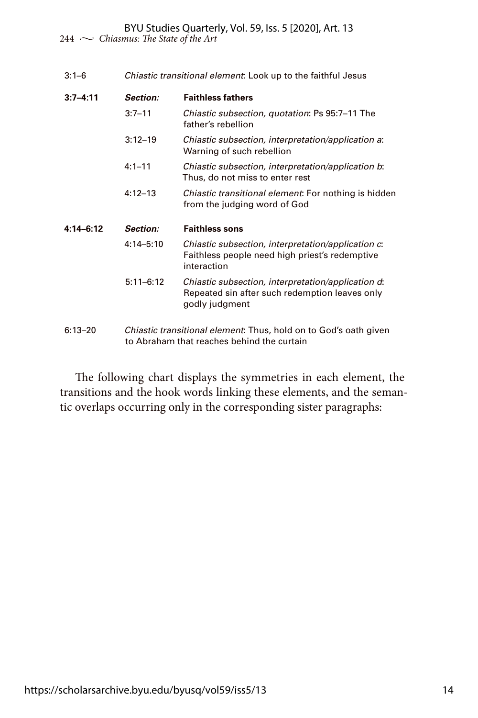#### BYU Studies Quarterly, Vol. 59, Iss. 5 [2020], Art. 13

244  $\sim$  *Chiasmus: The State of the Art* 

| $3:1-6$      | Chiastic transitional element: Look up to the faithful Jesus                                                   |                                                                                                                        |
|--------------|----------------------------------------------------------------------------------------------------------------|------------------------------------------------------------------------------------------------------------------------|
| $3:7 - 4:11$ | Section:                                                                                                       | <b>Faithless fathers</b>                                                                                               |
|              | $3:7 - 11$                                                                                                     | Chiastic subsection, quotation: Ps 95:7-11 The<br>father's rebellion                                                   |
|              | $3:12 - 19$                                                                                                    | Chiastic subsection, interpretation/application a:<br>Warning of such rebellion                                        |
|              | $4:1 - 11$                                                                                                     | Chiastic subsection, interpretation/application b:<br>Thus, do not miss to enter rest                                  |
|              | $4:12 - 13$                                                                                                    | Chiastic transitional element: For nothing is hidden<br>from the judging word of God                                   |
| $4:14-6:12$  | Section:                                                                                                       | <b>Faithless sons</b>                                                                                                  |
|              | $4:14 - 5:10$                                                                                                  | Chiastic subsection, interpretation/application c.<br>Faithless people need high priest's redemptive<br>interaction    |
|              | $5:11-6:12$                                                                                                    | Chiastic subsection, interpretation/application d:<br>Repeated sin after such redemption leaves only<br>godly judgment |
| $6:13 - 20$  | Chiastic transitional element: Thus, hold on to God's oath given<br>to Abraham that reaches behind the curtain |                                                                                                                        |

The following chart displays the symmetries in each element, the transitions and the hook words linking these elements, and the semantic overlaps occurring only in the corresponding sister paragraphs: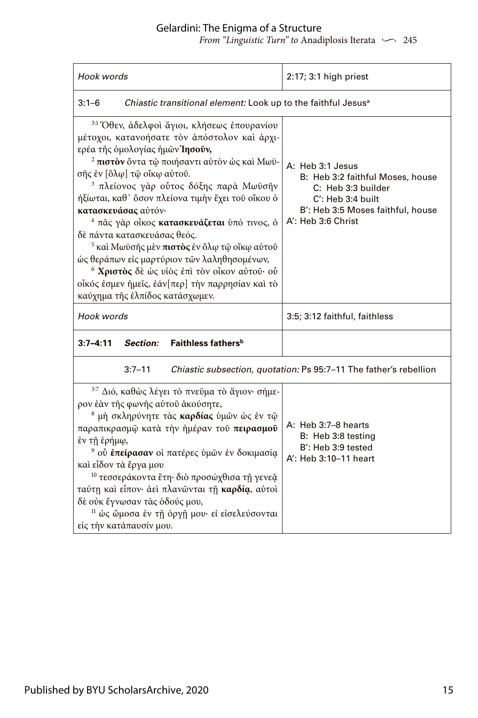| Hook words                                                                                                                                                                                                                                                                                                                                                                                                                                                                                                                                                                                                                                                                                                           | $2:17$ ; $3:1$ high priest                                                                                                                                    |  |  |  |
|----------------------------------------------------------------------------------------------------------------------------------------------------------------------------------------------------------------------------------------------------------------------------------------------------------------------------------------------------------------------------------------------------------------------------------------------------------------------------------------------------------------------------------------------------------------------------------------------------------------------------------------------------------------------------------------------------------------------|---------------------------------------------------------------------------------------------------------------------------------------------------------------|--|--|--|
| $3:1 - 6$<br>Chiastic transitional element: Look up to the faithful Jesus <sup>a</sup>                                                                                                                                                                                                                                                                                                                                                                                                                                                                                                                                                                                                                               |                                                                                                                                                               |  |  |  |
| 3:1 Όθεν, άδελφοί ἅγιοι, κλήσεως έπουρανίου<br>μέτοχοι, κατανοήσατε τον απόστολον καί άρχι-<br>ερέα της ομολογίας ήμων Ίησούν,<br><sup>2</sup> πιστον όντα τῷ ποιήσαντι αὐτὸν ὡς καὶ Μωϋ-<br>σῆς ἐν [ὅλφ] τῷ οἴκφ αὐτοῦ.<br><sup>3</sup> πλείονος γὰρ οὗτος δόξης παρὰ Μωϋσῆν<br>ήξίωται, καθ' ὅσον πλείονα τιμήν έχει τοῦ οἴκου ὁ<br>κατασκευάσας αύτόν·<br><sup>4</sup> πᾶς γὰρ οἶκος κατασκευάζεται υπό τινος, ο<br>δε πάντα κατασκευάσας θεός.<br><sup>5</sup> καὶ Μωϋσῆς μὲν <b>πιστὸς</b> ἐν ὅλφ τῷ οἴκφ αὐτοῦ<br>ώς θεράπων είς μαρτύριον τῶν λαληθησομένων,<br><sup>6</sup> Χριστός δε ώς υίος έπι τον οίκον αύτου ού<br>οἶκός έσμεν ήμεῖς, έάν[περ] την παρρησίαν και το<br>καύχημα της έλπίδος κατάσχωμεν. | A: Heb 3:1 Jesus<br>B: Heb 3:2 faithful Moses, house<br>C: Heb 3:3 builder<br>$C'$ : Heb 3:4 built<br>B': Heb 3:5 Moses faithful, house<br>A': Heb 3:6 Christ |  |  |  |
| Hook words                                                                                                                                                                                                                                                                                                                                                                                                                                                                                                                                                                                                                                                                                                           | 3:5; 3:12 faithful, faithless                                                                                                                                 |  |  |  |
| Faithless fathers <sup>b</sup><br>$3:7 - 4:11$<br>Section:                                                                                                                                                                                                                                                                                                                                                                                                                                                                                                                                                                                                                                                           |                                                                                                                                                               |  |  |  |
| $3:7 - 11$<br>Chiastic subsection, quotation: Ps 95:7-11 The father's rebellion                                                                                                                                                                                                                                                                                                                                                                                                                                                                                                                                                                                                                                      |                                                                                                                                                               |  |  |  |
| <sup>3:7</sup> Διό, καθώς λέγει το πνεύμα το άγιον· σήμε-<br>ρον έαν της φωνης αύτου άκούσητε,<br><sup>8</sup> μη σκληρύνητε τάς καρδίας ύμῶν ως έν τῷ<br>παραπικρασμώ κατά την ήμέραν τού πειρασμού<br>έν τη έρήμω,<br><sup>9</sup> ού επείρασαν οί πατέρες ύμῶν ἐν δοκιμασία<br>καὶ εἶδον τὰ ἔργα μου<br><sup>10</sup> τεσσεράκοντα έτη· διό προσώχθισα τη γενεξ<br>ταύτη και είπον· άει πλανώνται τη καρδία, αύτοι<br>δε ούκ έγνωσαν τας όδούς μου,<br><sup>11</sup> ως ὤμοσα έν τη όργη μου· εί είσελεύσονται<br>είς την κατάπαυσίν μου.                                                                                                                                                                         | A: Heb 3:7–8 hearts<br>B: Heb 3:8 testing<br>B': Heb 3:9 tested<br>A': Heb 3:10-11 heart                                                                      |  |  |  |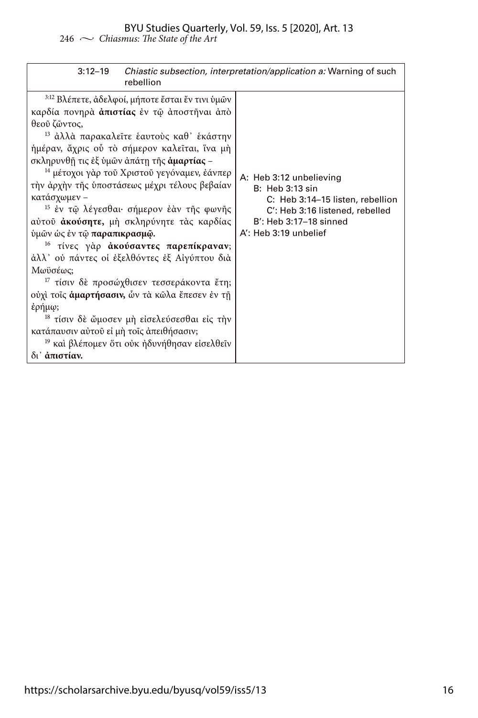| $3:12 - 19$<br>rebellion                                                                                                                                                                                                                                                                                                                                                                                                                                                                                                                                                                                                                                                                                                                                                                                                                                                                                                                                                                  | <i>Chiastic subsection, interpretation/application a:</i> Warning of such                                                                                            |
|-------------------------------------------------------------------------------------------------------------------------------------------------------------------------------------------------------------------------------------------------------------------------------------------------------------------------------------------------------------------------------------------------------------------------------------------------------------------------------------------------------------------------------------------------------------------------------------------------------------------------------------------------------------------------------------------------------------------------------------------------------------------------------------------------------------------------------------------------------------------------------------------------------------------------------------------------------------------------------------------|----------------------------------------------------------------------------------------------------------------------------------------------------------------------|
| <sup>3:12</sup> Βλέπετε, ἀδελφοί, μήποτε ἔσται ἔν τινι ὑμῶν<br>καρδία πονηρά <b>άπιστίας</b> έν τῷ ἀποστῆναι ἀπὸ<br>θεοῦ ζῶντος,<br><sup>13</sup> άλλά παρακαλεΐτε έαυτούς καθ' έκάστην<br>ήμέραν, ἄχρις οὗ τὸ σήμερον καλεῖται, ἵνα μὴ<br>σκληρυνθῆ τις ἐξ ὑμῶν ἀπάτῃ τῆς <b>ἁμαρτίας</b> –<br><sup>14</sup> μέτοχοι γάρ τοῦ Χριστοῦ γεγόναμεν, ἐάνπερ<br>τὴν ἀρχὴν τῆς ὑποστάσεως μέχρι τέλους βεβαίαν<br>κατάσχωμεν –<br><sup>15</sup> έν τῷ λέγεσθαι· σήμερον έὰν τῆς φωνῆς<br>αύτοῦ ἀκούσητε, μὴ σκληρύνητε τὰς καρδίας<br>ύμων ώς έν τώ παραπικρασμώ.<br><sup>16</sup> τίνες γάρ <b>άκούσαντες παρεπίκραναν</b> ;<br>άλλ' ού πάντες οι έξελθόντες έξ Αίγύπτου διά<br>Μωϋσέως;<br><sup>17</sup> τίσιν δὲ προσώχθισεν τεσσεράκοντα ἔτη;<br>ούχι τοῖς άμαρτήσασιν, ὧν τὰ κῶλα ἔπεσεν ἐν τῆ<br>έρήμω;<br><sup>18</sup> τίσιν δὲ ὤμοσεν μὴ εἰσελεύσεσθαι εἰς τὴν<br>κατάπαυσιν αύτοῦ εί μὴ τοῖς ἀπειθήσασιν;<br><sup>19</sup> καὶ βλέπομεν ὅτι οὐκ ἠδυνήθησαν εἰσελθεῖν<br>δι' άπιστίαν. | A: Heb 3:12 unbelieving<br>B: Heb 3:13 sin<br>C: Heb 3:14–15 listen, rebellion<br>C': Heb 3:16 listened, rebelled<br>B': Heb 3:17-18 sinned<br>A': Heb 3:19 unbelief |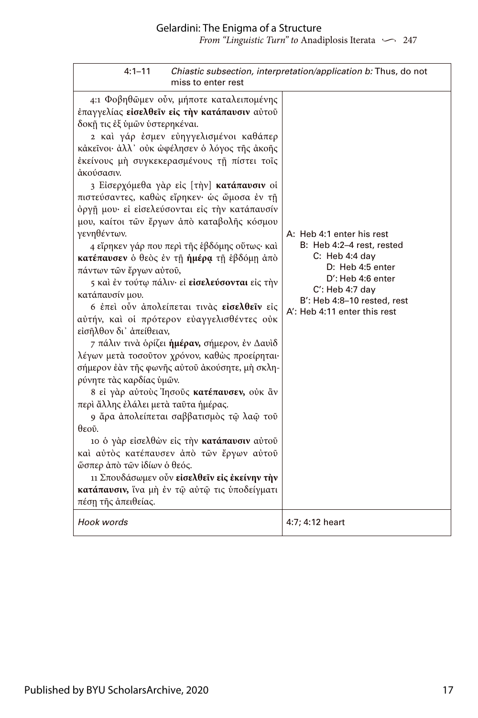#### *From "Linguistic Turn" to Anadiplosis Iterata*  $\sim$  247 Gelardini: The Enigma of a Structure

| $4:1 - 11$<br>Chiastic subsection, interpretation/application b: Thus, do not<br>miss to enter rest                                                                                                                                                                                                                                                                                                                                                                                                                                                                                                                                                                                                                                                                                                                                                                                                                                                                                                                                                                                                                                                                                                                                                                                                                                                                                                                     |                                                                                                                                                                                                             |  |
|-------------------------------------------------------------------------------------------------------------------------------------------------------------------------------------------------------------------------------------------------------------------------------------------------------------------------------------------------------------------------------------------------------------------------------------------------------------------------------------------------------------------------------------------------------------------------------------------------------------------------------------------------------------------------------------------------------------------------------------------------------------------------------------------------------------------------------------------------------------------------------------------------------------------------------------------------------------------------------------------------------------------------------------------------------------------------------------------------------------------------------------------------------------------------------------------------------------------------------------------------------------------------------------------------------------------------------------------------------------------------------------------------------------------------|-------------------------------------------------------------------------------------------------------------------------------------------------------------------------------------------------------------|--|
| 4:1 Φοβηθώμεν ούν, μήποτε καταλειπομένης<br>έπαγγελίας <b>είσελθεῖν εἰς τὴν κατάπαυσιν</b> αὐτοῦ<br>δοκῆ τις ἐξ ὑμῶν ὑστερηκέναι.<br>2 καὶ γάρ ἐσμεν εὐηγγελισμένοι καθάπερ<br>κάκεῖνοι· ἀλλ' οὐκ ἀφέλησεν ὁ λόγος τῆς ἀκοῆς<br>έκείνους μή συγκεκερασμένους τη πίστει τοΐς<br>ἀκούσασιν.<br>3 Είσερχόμεθα γάρ είς [τήν] κατάπαυσιν οί<br>πιστεύσαντες, καθώς εἴρηκεν· ώς ὤμοσα έν τῆ<br>όργη μου· εί είσελεύσονται είς την κατάπαυσίν<br>μου, καίτοι τῶν ἔργων ἀπὸ καταβολῆς κόσμου<br>γενηθέντων.<br>4 εἴρηκεν γάρ που περὶ τῆς ἑβδόμης οὕτως· καὶ<br>κατέπαυσεν ό θεός έν τη ήμέρα τη έβδόμη άπό<br>πάντων τῶν ἔργων αὐτοῦ,<br>5 και έν τούτω πάλιν· εί <b>είσελεύσονται</b> είς την<br>κατάπαυσίν μου.<br>6 έπει ούν άπολείπεται τινάς είσελθεῖν είς<br>αύτήν, καί οί πρότερον εύαγγελισθέντες ούκ<br>είσῆλθον δι' άπείθειαν,<br>7 πάλιν τινά δρίζει <b>ήμέραν</b> , σήμερον, έν Δαυίδ<br>λέγων μετά τοσούτον χρόνον, καθώς προείρηται·<br>σήμερον έὰν τῆς φωνῆς αὐτοῦ ἀκούσητε, μὴ σκλη-<br>ρύνητε τας καρδίας ύμών.<br>8 εί γάρ αύτους Ίησοῦς κατέπαυσεν, ούκ ἂν<br>περί ἄλλης έλάλει μετά ταῦτα ἡμέρας.<br>9 ἄρα ἀπολείπεται σαββατισμὸς τῷ λαῷ τοῦ<br>$θ$ εοῦ.<br>10 ο γάρ είσελθών είς την κατάπαυσιν αύτου<br>καί αύτός κατέπαυσεν άπό των έργων αύτου<br>ὥσπερ ἀπὸ τῶν ἰδίων ὁ θεός.<br>11 Σπουδάσωμεν οὖν είσελθεῖν εἰς ἐκείνην τὴν<br>κατάπαυσιν, ίνα μή έν τῷ αὐτῷ τις ὑποδείγματι<br>πέση της απειθείας. | A: Heb 4:1 enter his rest<br>B: Heb 4:2-4 rest, rested<br>$C:$ Heb 4:4 day<br>D: Heb 4:5 enter<br>$D'$ : Heb 4:6 enter<br>$C'$ : Heb 4:7 day<br>B': Heb 4:8-10 rested, rest<br>A': Heb 4:11 enter this rest |  |
| Hook words                                                                                                                                                                                                                                                                                                                                                                                                                                                                                                                                                                                                                                                                                                                                                                                                                                                                                                                                                                                                                                                                                                                                                                                                                                                                                                                                                                                                              | 4:7; 4:12 heart                                                                                                                                                                                             |  |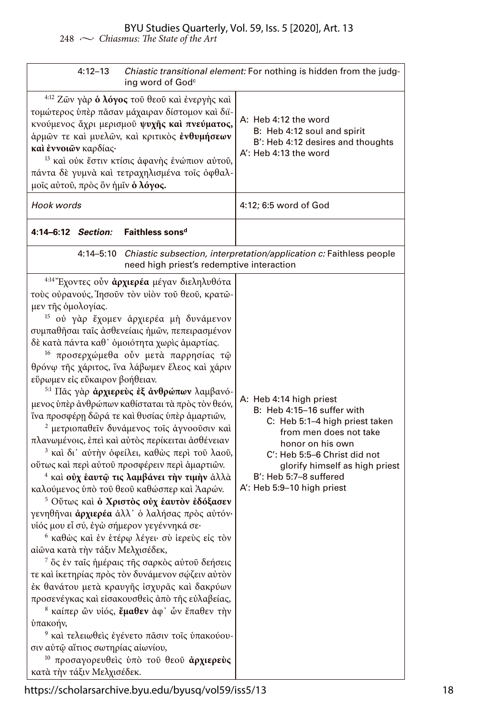| Chiastic transitional element: For nothing is hidden from the judg-<br>4:12-13<br>ing word of God <sup>c</sup>                                                                                                                                                                                                                                                                                                                                                                                                                                                                                                                                                                                                                                                                                                                                                                                                                                                                                                                                                                                                                                                                                                                                                                                                                                                                                                                                                                                                                                                                                                                                                       |                                                                                                                                                                                                                                                                 |  |  |
|----------------------------------------------------------------------------------------------------------------------------------------------------------------------------------------------------------------------------------------------------------------------------------------------------------------------------------------------------------------------------------------------------------------------------------------------------------------------------------------------------------------------------------------------------------------------------------------------------------------------------------------------------------------------------------------------------------------------------------------------------------------------------------------------------------------------------------------------------------------------------------------------------------------------------------------------------------------------------------------------------------------------------------------------------------------------------------------------------------------------------------------------------------------------------------------------------------------------------------------------------------------------------------------------------------------------------------------------------------------------------------------------------------------------------------------------------------------------------------------------------------------------------------------------------------------------------------------------------------------------------------------------------------------------|-----------------------------------------------------------------------------------------------------------------------------------------------------------------------------------------------------------------------------------------------------------------|--|--|
| <sup>4:12</sup> Ζῶν γὰρ <b>ὁ λόγος</b> τοῦ θεοῦ καὶ ἐνεργὴς καὶ<br>τομώτερος υπέρ πάσαν μάχαιραν δίστομον και διϊ-<br>κνούμενος ἄχρι μερισμοῦ ψυχῆς και πνεύματος,<br>άρμῶν τε καί μυελῶν, καί κριτικὸς <b>ἐνθυμήσεων</b><br>και έννοιών καρδίας·<br><sup>13</sup> καί ούκ έστιν κτίσις άφανής ένώπιον αύτοῦ,<br>πάντα δε γυμνά και τετραχηλισμένα τοϊς όφθαλ-<br>μοΐς αύτοῦ, πρὸς ὃν ἡμῖν <b>ὁ λόγος.</b>                                                                                                                                                                                                                                                                                                                                                                                                                                                                                                                                                                                                                                                                                                                                                                                                                                                                                                                                                                                                                                                                                                                                                                                                                                                           | A: Heb 4:12 the word<br>B: Heb 4:12 soul and spirit<br>B': Heb 4:12 desires and thoughts<br>A': Heb 4:13 the word                                                                                                                                               |  |  |
| Hook words                                                                                                                                                                                                                                                                                                                                                                                                                                                                                                                                                                                                                                                                                                                                                                                                                                                                                                                                                                                                                                                                                                                                                                                                                                                                                                                                                                                                                                                                                                                                                                                                                                                           | 4:12; 6:5 word of God                                                                                                                                                                                                                                           |  |  |
| Faithless sons <sup>d</sup><br>4:14-6:12 Section:                                                                                                                                                                                                                                                                                                                                                                                                                                                                                                                                                                                                                                                                                                                                                                                                                                                                                                                                                                                                                                                                                                                                                                                                                                                                                                                                                                                                                                                                                                                                                                                                                    |                                                                                                                                                                                                                                                                 |  |  |
| 4:14-5:10 Chiastic subsection, interpretation/application c: Faithless people<br>need high priest's redemptive interaction                                                                                                                                                                                                                                                                                                                                                                                                                                                                                                                                                                                                                                                                                                                                                                                                                                                                                                                                                                                                                                                                                                                                                                                                                                                                                                                                                                                                                                                                                                                                           |                                                                                                                                                                                                                                                                 |  |  |
| <sup>4:14</sup> Έχοντες οὖν άρχιερέα μέγαν διεληλυθότα<br>τούς ούρανούς, Ίησοῦν τὸν υἱὸν τοῦ θεοῦ, κρατῶ-<br>μεν της όμολογίας.<br>ού γάρ έχομεν άρχιερέα μή δυνάμενον<br>15<br>συμπαθήσαι ταΐς άσθενείαις ήμών, πεπειρασμένον<br>δε κατά πάντα καθ' όμοιότητα χωρις άμαρτίας.<br>16<br>προσερχώμεθα ούν μετά παρρησίας τῷ<br>θρόνφ της χάριτος, ίνα λάβωμεν έλεος και χάριν<br>εύρωμεν είς εύκαιρον βοήθειαν.<br><sup>5:1</sup> Πᾶς γὰρ <b>ἀρχιερεὺς ἐξ ἀνθρώπων</b> λαμβανό-<br>μενος ύπὲρ ἀνθρώπων καθίσταται τὰ πρὸς τὸν θεόν,<br>ΐνα προσφέρη δῶρά τε και θυσίας υπερ άμαρτιῶν,<br><sup>2</sup> μετριοπαθεΐν δυνάμενος τοΐς άγνοοῦσιν καί<br>πλανωμένοις, έπει και αύτος περίκειται άσθένειαν<br><sup>3</sup> καί δι' αύτήν όφείλει, καθώς περί τοῦ λαοῦ,<br>ούτως και περι αύτου προσφέρειν περι άμαρτιών.<br><sup>4</sup> καὶ <b>οὐχ ἑαυτῷ τις λαμβάνει τὴν τιμὴν</b> ἀλλὰ<br>καλούμενος ύπό τοῦ θεοῦ καθώσπερ καὶ Ἀαρών.<br><sup>5</sup> Ούτως καί <b>ο Χριστος ούχ έαυτον έδόξασεν</b><br>γενηθῆναι άρχιερέα άλλ' ὁ λαλήσας πρὸς αὐτόν·<br>υίός μου εἶ σύ, ἐγὼ σήμερον γεγέννηκά σε·<br><sup>6</sup> καθώς καί έν έτέρω λέγει· σύ ίερεύς είς τον<br>αίώνα κατά την τάξιν Μελχισέδεκ,<br>ὃς ἐν ταῖς ἡμέραις τῆς σαρκὸς αὐτοῦ δεήσεις<br>τε και ίκετηρίας πρός τον δυνάμενον σώζειν αυτον<br>έκ θανάτου μετά κραυγής ισχυράς και δακρύων<br>προσενέγκας και είσακουσθεις άπο της εύλαβείας,<br><sup>8</sup> καίπερ ὢν υἱός, <b>ἔμαθεν</b> ἀφ' ὦν ἔπαθεν τὴν<br>ύπακοήν,<br><sup>9</sup> και τελειωθεις έγένετο πάσιν τοΐς υπακούου-<br>σιν αύτῷ αἴτιος σωτηρίας αἰωνίου,<br><sup>10</sup> προσαγορευθείς ύπό τοῦ θεοῦ ἀρχιερεύς<br>κατά την τάξιν Μελχισέδεκ. | A: Heb 4:14 high priest<br>B: Heb 4:15-16 suffer with<br>C: Heb 5:1-4 high priest taken<br>from men does not take<br>honor on his own<br>C': Heb 5:5-6 Christ did not<br>glorify himself as high priest<br>B': Heb 5:7-8 suffered<br>A': Heb 5:9-10 high priest |  |  |

https://scholarsarchive.byu.edu/byusq/vol59/iss5/13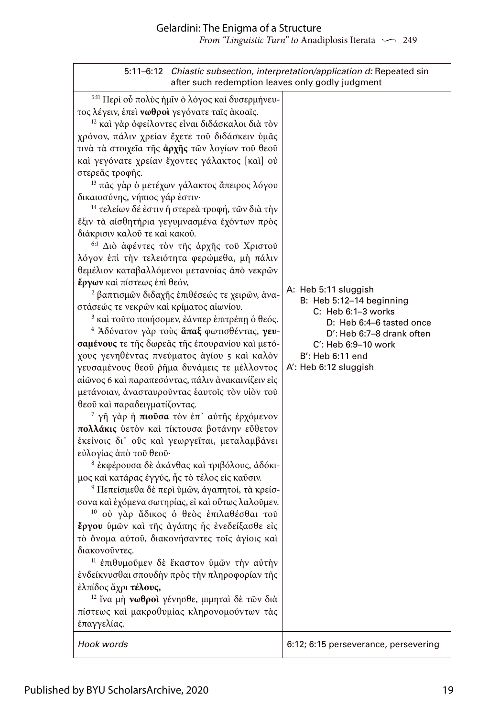| 5:11-6:12 Chiastic subsection, interpretation/application d: Repeated sin<br>after such redemption leaves only godly judgment |                                                                                                                                                                                                                                                                                                                                                                                                                                                                                                                                                                                                                                                                                                                                                                                                                                                                                                                                                                                                                                                                                                                                                                                                                                                                                                                                                                                                                                                                                                                                                                                                                                                                                                                                                                                                                                                                                                                                                                                                                                                                                                                                                                             |                                                                                                                                                                                                                                               |
|-------------------------------------------------------------------------------------------------------------------------------|-----------------------------------------------------------------------------------------------------------------------------------------------------------------------------------------------------------------------------------------------------------------------------------------------------------------------------------------------------------------------------------------------------------------------------------------------------------------------------------------------------------------------------------------------------------------------------------------------------------------------------------------------------------------------------------------------------------------------------------------------------------------------------------------------------------------------------------------------------------------------------------------------------------------------------------------------------------------------------------------------------------------------------------------------------------------------------------------------------------------------------------------------------------------------------------------------------------------------------------------------------------------------------------------------------------------------------------------------------------------------------------------------------------------------------------------------------------------------------------------------------------------------------------------------------------------------------------------------------------------------------------------------------------------------------------------------------------------------------------------------------------------------------------------------------------------------------------------------------------------------------------------------------------------------------------------------------------------------------------------------------------------------------------------------------------------------------------------------------------------------------------------------------------------------------|-----------------------------------------------------------------------------------------------------------------------------------------------------------------------------------------------------------------------------------------------|
|                                                                                                                               | <sup>5:11</sup> Περί οὖ πολύς ήμῖν ὁ λόγος καὶ δυσερμήνευ-<br>τος λέγειν, έπει νωθροί γεγόνατε ταΐς άκοαΐς.<br><sup>12</sup> καί γάρ όφείλοντες εἶναι διδάσκαλοι διά τον<br>χρόνον, πάλιν χρείαν έχετε τοῦ διδάσκειν ὑμᾶς<br>τινά τά στοιχεία της άρχης των λογίων του θεού<br>και γεγόνατε χρείαν έχοντες γάλακτος [και] ού<br>στερεᾶς τροφῆς.<br><sup>13</sup> πᾶς γὰρ ὁ μετέχων γάλακτος ἄπειρος λόγου<br>δικαιοσύνης, νήπιος γάρ έστιν·<br><sup>14</sup> τελείων δέ έστιν ή στερεά τροφή, τῶν διά τὴν<br>έξιν τα αίσθητήρια γεγυμνασμένα εχόντων πρός<br>διάκρισιν καλοῦ τε καὶ κακοῦ.<br><sup>6:1</sup> Διὸ ἀφέντες τὸν τῆς ἀρχῆς τοῦ Χριστοῦ<br>λόγον έπι την τελειότητα φερώμεθα, μη πάλιν<br>θεμέλιον καταβαλλόμενοι μετανοίας άπό νεκρών<br>έργων και πίστεως έπι θεόν,<br><sup>2</sup> βαπτισμῶν διδαχῆς ἐπιθέσεώς τε χειρῶν, ἀνα-<br>στάσεώς τε νεκρών και κρίματος αίωνίου.<br><sup>3</sup> και τούτο ποιήσομεν, έάνπερ έπιτρέπη ο θεός.<br><sup>4</sup> Αδύνατον γάρ τούς άπαξ φωτισθέντας, γευ-<br>σαμένους τε της δωρεάς της έπουρανίου και μετό-<br>χους γενηθέντας πνεύματος άγίου 5 και καλόν<br>γευσαμένους θεοῦ ρημα δυνάμεις τε μέλλοντος<br>αίῶνος 6 και παραπεσόντας, πάλιν ανακαινίζειν είς<br>μετάνοιαν, άνασταυρούντας έαυτοίς τον υίον τού<br>θεού και παραδειγματίζοντας.<br><sup>7</sup> γῆ γὰρ ἡ πιοῦσα τὸν ἐπ' αὐτῆς ἐρχόμενον<br>πολλάκις ύετον και τίκτουσα βοτάνην εύθετον<br>έκείνοις δι' οΰς καί γεωργεῖται, μεταλαμβάνει<br>εύλογίας άπό τοῦ θεοῦ·<br><sup>8</sup> εκφέρουσα δε άκάνθας και τριβόλους, άδόκι-<br>μος και κατάρας έγγύς, ής το τέλος είς καῦσιν.<br><sup>9</sup> Πεπείσμεθα δὲ περὶ ὑμῶν, ἀγαπητοί, τὰ κρείσ-<br>σονα και έχόμενα σωτηρίας, εί και ούτως λαλούμεν.<br><sup>10</sup> ού γάρ ἄδικος ο θεος έπιλαθέσθαι τού<br>έργου ύμών και της άγάπης ής ενεδείξασθε είς<br>τὸ ὄνομα αὐτοῦ, διακονήσαντες τοῖς ἁγίοις καί<br>διακονοῦντες.<br><sup>11</sup> έπιθυμούμεν δε έκαστον ύμών την αύτην<br>ένδείκνυσθαι σπουδήν πρὸς τὴν πληροφορίαν τῆς<br>έλπίδος ἄχρι τέλους,<br><sup>12</sup> ΐνα μή <b>νωθροί</b> γένησθε, μιμηταί δε των διά<br>πίστεως και μακροθυμίας κληρονομούντων τας<br>έπαγγελίας.<br>Hook words | A: Heb 5:11 sluggish<br>B: Heb 5:12-14 beginning<br>$C:$ Heb 6:1-3 works<br>D: Heb 6:4-6 tasted once<br>D': Heb 6:7-8 drank often<br>C': Heb 6:9-10 work<br>B': Heb 6:11 end<br>A': Heb 6:12 sluggish<br>6:12; 6:15 perseverance, persevering |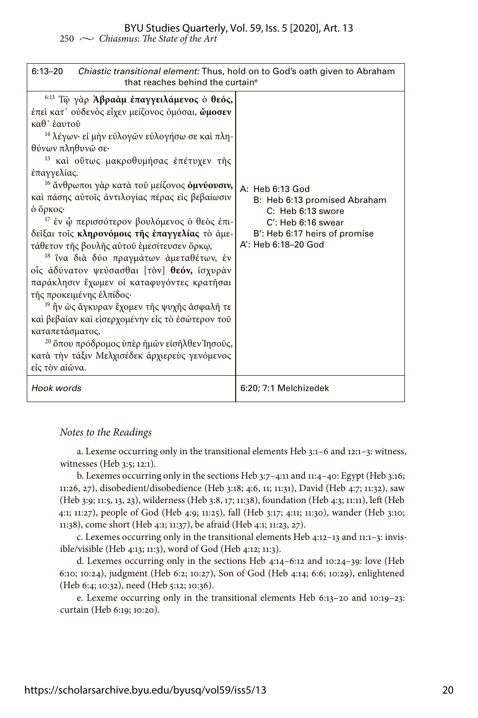250 v *Chiasmus: The State of the Art*

| $6:13 - 20$<br><i>Chiastic transitional element:</i> Thus, hold on to God's oath given to Abraham                                                                                                                                                                                                                                                                                                                                                                                                                                                                                                                                                                                                                                                                                                                                                                                                                                                                                                           |                                                                                                                                                    |  |  |
|-------------------------------------------------------------------------------------------------------------------------------------------------------------------------------------------------------------------------------------------------------------------------------------------------------------------------------------------------------------------------------------------------------------------------------------------------------------------------------------------------------------------------------------------------------------------------------------------------------------------------------------------------------------------------------------------------------------------------------------------------------------------------------------------------------------------------------------------------------------------------------------------------------------------------------------------------------------------------------------------------------------|----------------------------------------------------------------------------------------------------------------------------------------------------|--|--|
| that reaches behind the curtain <sup>e</sup>                                                                                                                                                                                                                                                                                                                                                                                                                                                                                                                                                                                                                                                                                                                                                                                                                                                                                                                                                                |                                                                                                                                                    |  |  |
| <sup>6:13</sup> Τῷ γὰρ Ἀβραὰμ ἐπαγγειλάμενος ὁ θεός,<br>έπει κατ' ούδενος είχεν μείζονος ομόσαι, ώμοσεν<br>καθ' έαυτοῦ<br><sup>14</sup> λέγων· εἰ μὴν εὐλογῶν εὐλογήσω σε καὶ πλη-<br>θύνων πληθυνῶ σε·<br>15<br>καί ούτως μακροθυμήσας επέτυχεν της<br>έπαγγελίας.<br><sup>16</sup> ἄνθρωποι γάρ κατά τοῦ μείζονος <b>όμνύουσιν,</b><br>καὶ πάσης αὐτοῖς ἀντιλογίας πέρας εἰς βεβαίωσιν<br>ό ὄρκος·<br><sup>17</sup> έν ὧ περισσότερον βουλόμενος ὁ θεὸς ἐπι-<br>δεΐξαι τοΐς κληρονόμοις της έπαγγελίας το άμε-<br>τάθετον τῆς βουλῆς αὐτοῦ ἐμεσίτευσεν ὅρκῳ,<br><sup>18</sup> ΐνα διά δύο πραγμάτων άμεταθέτων, έν<br>οίς αδύνατον ψεύσασθαι [τον] θεόν, ισχυραν<br>παράκλησιν έχωμεν οί καταφυγόντες κρατήσαι<br>τῆς προκειμένης ἐλπίδος·<br><sup>19</sup> ἣν ώς ἄγκυραν ἔχομεν τῆς ψυχῆς ἀσφαλῆ τε<br>και βεβαίαν και είσερχομένην είς το εσώτερον τού<br>καταπετάσματος,<br><sup>20</sup> ὅπου πρόδρομος ὑπὲρ ἡμῶν εἰσῆλθεν Ἰησοῦς,<br>κατά την τάξιν Μελχισέδεκ άρχιερεύς γενόμενος<br>είς τὸν αἰῶνα. | A: Heb 6:13 God<br>B: Heb 6:13 promised Abraham<br>C: Heb 6:13 swore<br>C': Heb 6:16 swear<br>B': Heb 6:17 heirs of promise<br>A': Heb 6:18-20 God |  |  |
| Hook words                                                                                                                                                                                                                                                                                                                                                                                                                                                                                                                                                                                                                                                                                                                                                                                                                                                                                                                                                                                                  | 6:20; 7:1 Melchizedek                                                                                                                              |  |  |

#### *Notes to the Readings*

a. Lexeme occurring only in the transitional elements Heb 3:1–6 and 12:1–3: witness, witnesses (Heb 3:5; 12:1).

b. Lexemes occurring only in the sections Heb 3:7–4:11 and 11:4–40: Egypt (Heb 3:16; 11:26, 27), disobedient/disobedience (Heb 3:18; 4:6, 11; 11:31), David (Heb 4:7; 11:32), saw (Heb 3:9; 11:5, 13, 23), wilderness (Heb 3:8, 17; 11:38), foundation (Heb 4:3; 11:11), left (Heb 4:1; 11:27), people of God (Heb 4:9; 11:25), fall (Heb 3:17; 4:11; 11:30), wander (Heb 3:10; 11:38), come short (Heb 4:1; 11:37), be afraid (Heb 4:1; 11:23, 27).

c. Lexemes occurring only in the transitional elements Heb 4:12–13 and 11:1–3: invisible/visible (Heb 4:13; 11:3), word of God (Heb 4:12; 11:3).

d. Lexemes occurring only in the sections Heb 4:14–6:12 and 10:24–39: love (Heb 6:10; 10:24), judgment (Heb 6:2; 10:27), Son of God (Heb 4:14; 6:6; 10:29), enlightened (Heb 6:4; 10:32), need (Heb 5:12; 10:36).

e. Lexeme occurring only in the transitional elements Heb 6:13–20 and 10:19–23: curtain (Heb 6:19; 10:20).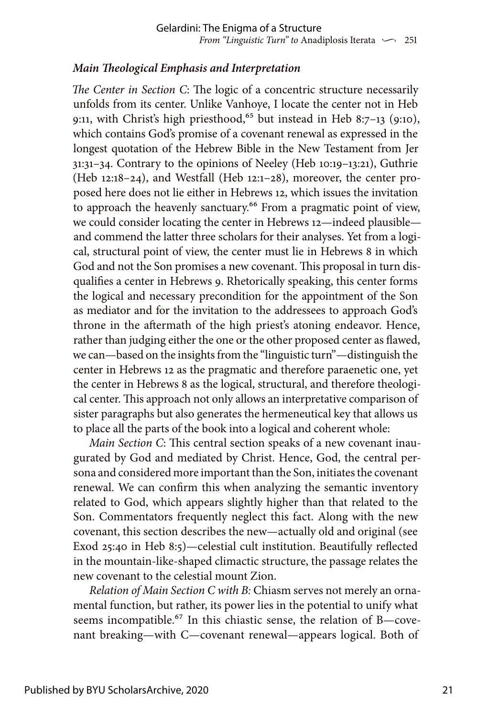## *Main Theological Emphasis and Interpretation*

*The Center in Section C*: The logic of a concentric structure necessarily unfolds from its center. Unlike Vanhoye, I locate the center not in Heb 9:11, with Christ's high priesthood,<sup>65</sup> but instead in Heb 8:7-13 (9:10), which contains God's promise of a covenant renewal as expressed in the longest quotation of the Hebrew Bible in the New Testament from Jer 31:31–34. Contrary to the opinions of Neeley (Heb 10:19–13:21), Guthrie (Heb 12:18–24), and Westfall (Heb 12:1–28), moreover, the center proposed here does not lie either in Hebrews 12, which issues the invitation to approach the heavenly sanctuary.<sup>66</sup> From a pragmatic point of view, we could consider locating the center in Hebrews 12—indeed plausible and commend the latter three scholars for their analyses. Yet from a logical, structural point of view, the center must lie in Hebrews 8 in which God and not the Son promises a new covenant. This proposal in turn disqualifies a center in Hebrews 9. Rhetorically speaking, this center forms the logical and necessary precondition for the appointment of the Son as mediator and for the invitation to the addressees to approach God's throne in the aftermath of the high priest's atoning endeavor. Hence, rather than judging either the one or the other proposed center as flawed, we can—based on the insights from the "linguistic turn"—distinguish the center in Hebrews 12 as the pragmatic and therefore paraenetic one, yet the center in Hebrews 8 as the logical, structural, and therefore theological center. This approach not only allows an interpretative comparison of sister paragraphs but also generates the hermeneutical key that allows us to place all the parts of the book into a logical and coherent whole:

*Main Section C*: This central section speaks of a new covenant inaugurated by God and mediated by Christ. Hence, God, the central persona and considered more important than the Son, initiates the covenant renewal. We can confirm this when analyzing the semantic inventory related to God, which appears slightly higher than that related to the Son. Commentators frequently neglect this fact. Along with the new covenant, this section describes the new—actually old and original (see Exod 25:40 in Heb 8:5)—celestial cult institution. Beautifully reflected in the mountain-like-shaped climactic structure, the passage relates the new covenant to the celestial mount Zion.

*Relation of Main Section C with B:* Chiasm serves not merely an ornamental function, but rather, its power lies in the potential to unify what seems incompatible.<sup>67</sup> In this chiastic sense, the relation of B-covenant breaking—with C—covenant renewal—appears logical. Both of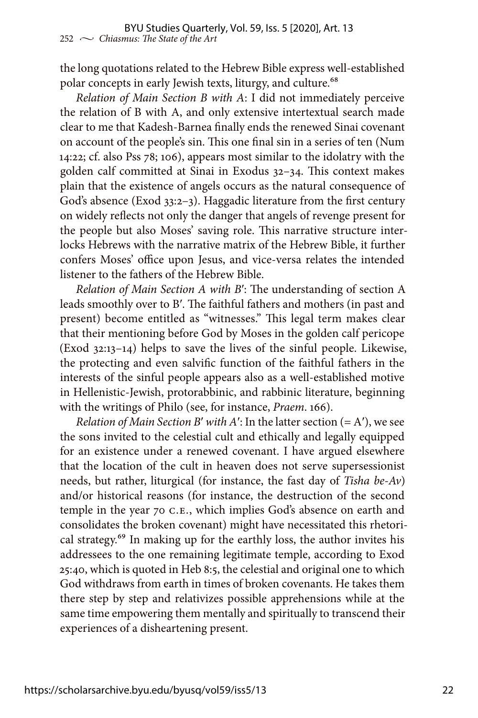the long quotations related to the Hebrew Bible express well-established polar concepts in early Jewish texts, liturgy, and culture.<sup>68</sup>

*Relation of Main Section B with A*: I did not immediately perceive the relation of B with A, and only extensive intertextual search made clear to me that Kadesh-Barnea finally ends the renewed Sinai covenant on account of the people's sin. This one final sin in a series of ten (Num 14:22; cf. also Pss 78; 106), appears most similar to the idolatry with the golden calf committed at Sinai in Exodus 32–34. This context makes plain that the existence of angels occurs as the natural consequence of God's absence (Exod 33:2–3). Haggadic literature from the first century on widely reflects not only the danger that angels of revenge present for the people but also Moses' saving role. This narrative structure interlocks Hebrews with the narrative matrix of the Hebrew Bible, it further confers Moses' office upon Jesus, and vice-versa relates the intended listener to the fathers of the Hebrew Bible.

*Relation of Main Section A with B*ʹ: The understanding of section A leads smoothly over to Bʹ. The faithful fathers and mothers (in past and present) become entitled as "witnesses." This legal term makes clear that their mentioning before God by Moses in the golden calf pericope (Exod 32:13–14) helps to save the lives of the sinful people. Likewise, the protecting and even salvific function of the faithful fathers in the interests of the sinful people appears also as a well-established motive in Hellenistic-Jewish, protorabbinic, and rabbinic literature, beginning with the writings of Philo (see, for instance, *Praem*. 166).

*Relation of Main Section B'* with  $A'$ : In the latter section  $(= A')$ , we see the sons invited to the celestial cult and ethically and legally equipped for an existence under a renewed covenant. I have argued elsewhere that the location of the cult in heaven does not serve supersessionist needs, but rather, liturgical (for instance, the fast day of *Tisha be-Av*) and/or historical reasons (for instance, the destruction of the second temple in the year 70 C.E., which implies God's absence on earth and consolidates the broken covenant) might have necessitated this rhetorical strategy.<sup>69</sup> In making up for the earthly loss, the author invites his addressees to the one remaining legitimate temple, according to Exod 25:40, which is quoted in Heb 8:5, the celestial and original one to which God withdraws from earth in times of broken covenants. He takes them there step by step and relativizes possible apprehensions while at the same time empowering them mentally and spiritually to transcend their experiences of a disheartening present.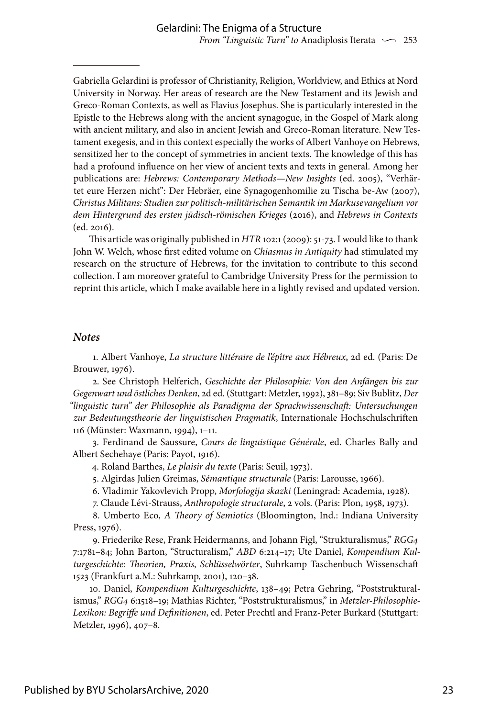Gabriella Gelardini is professor of Christianity, Religion, Worldview, and Ethics at Nord University in Norway. Her areas of research are the New Testament and its Jewish and Greco-Roman Contexts, as well as Flavius Josephus. She is particularly interested in the Epistle to the Hebrews along with the ancient synagogue, in the Gospel of Mark along with ancient military, and also in ancient Jewish and Greco-Roman literature. New Testament exegesis, and in this context especially the works of Albert Vanhoye on Hebrews, sensitized her to the concept of symmetries in ancient texts. The knowledge of this has had a profound influence on her view of ancient texts and texts in general. Among her publications are: *Hebrews: Contemporary Methods—New Insights* (ed. 2005), "Verhärtet eure Herzen nicht": Der Hebräer, eine Synagogenhomilie zu Tischa be-Aw (2007), *Christus Militans: Studien zur politisch-militärischen Semantik im Markusevangelium vor dem Hintergrund des ersten jüdisch-römischen Krieges* (2016), and *Hebrews in Contexts* (ed. 2016).

This article was originally published in *HTR* 102:1 (2009): 51-73. I would like to thank John W. Welch, whose first edited volume on *Chiasmus in Antiquity* had stimulated my research on the structure of Hebrews, for the invitation to contribute to this second collection. I am moreover grateful to Cambridge University Press for the permission to reprint this article, which I make available here in a lightly revised and updated version.

#### *Notes*

1. Albert Vanhoye, *La structure littéraire de l'épître aux Hébreux*, 2d ed. (Paris: De Brouwer, 1976).

2. See Christoph Helferich, *Geschichte der Philosophie: Von den Anfängen bis zur Gegenwart und östliches Denken*, 2d ed. (Stuttgart: Metzler, 1992), 381–89; Siv Bublitz, *Der "linguistic turn" der Philosophie als Paradigma der Sprachwissenschaft: Untersuchungen zur Bedeutungstheorie der linguistischen Pragmatik*, Internationale Hochschulschriften 116 (Münster: Waxmann, 1994), 1–11.

3. Ferdinand de Saussure, *Cours de linguistique Générale*, ed. Charles Bally and Albert Sechehaye (Paris: Payot, 1916).

4. Roland Barthes, *Le plaisir du texte* (Paris: Seuil, 1973).

5. Algirdas Julien Greimas, *Sémantique structurale* (Paris: Larousse, 1966).

6. Vladimir Yakovlevich Propp, *Morfologija skazki* (Leningrad: Academia, 1928).

7. Claude Lévi-Strauss, *Anthropologie structurale*, 2 vols. (Paris: Plon, 1958, 1973).

8. Umberto Eco, *A Theory of Semiotics* (Bloomington, Ind.: Indiana University Press, 1976).

9. Friederike Rese, Frank Heidermanns, and Johann Figl, "Strukturalismus," *RGG4* 7:1781–84; John Barton, "Structuralism," *ABD* 6:214–17; Ute Daniel, *Kompendium Kulturgeschichte: Theorien, Praxis, Schlüsselwörter*, Suhrkamp Taschenbuch Wissenschaft 1523 (Frankfurt a.M.: Suhrkamp, 2001), 120–38.

10. Daniel, *Kompendium Kulturgeschichte*, 138–49; Petra Gehring, "Poststrukturalismus," *RGG4* 6:1518–19; Mathias Richter, "Poststrukturalismus," in *Metzler-Philosophie-Lexikon: Begriffe und Definitionen*, ed. Peter Prechtl and Franz-Peter Burkard (Stuttgart: Metzler, 1996), 407–8.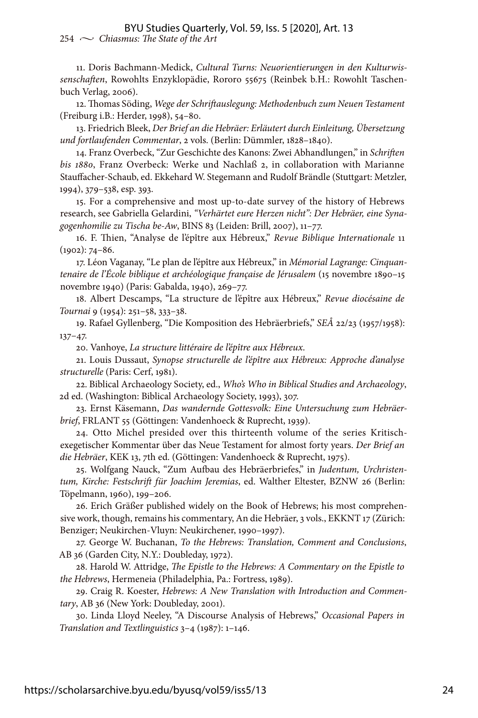11. Doris Bachmann-Medick, *Cultural Turns: Neuorientierungen in den Kulturwissenschaften*, Rowohlts Enzyklopädie, Rororo 55675 (Reinbek b.H.: Rowohlt Taschenbuch Verlag, 2006).

12. Thomas Söding, *Wege der Schriftauslegung: Methodenbuch zum Neuen Testament* (Freiburg i.B.: Herder, 1998), 54–80.

13. Friedrich Bleek, *Der Brief an die Hebräer: Erläutert durch Einleitung, Übersetzung und fortlaufenden Commentar*, 2 vols. (Berlin: Dümmler, 1828–1840).

14. Franz Overbeck, "Zur Geschichte des Kanons: Zwei Abhandlungen," in *Schriften bis 1880*, Franz Overbeck: Werke und Nachlaß 2, in collaboration with Marianne Stauffacher-Schaub, ed. Ekkehard W. Stegemann and Rudolf Brändle (Stuttgart: Metzler, 1994), 379–538, esp. 393.

15. For a comprehensive and most up-to-date survey of the history of Hebrews research, see Gabriella Gelardini, *"Verhärtet eure Herzen nicht": Der Hebräer, eine Synagogenhomilie zu Tischa be-Aw*, BINS 83 (Leiden: Brill, 2007), 11–77.

16. F. Thien, "Analyse de l'épître aux Hébreux," *Revue Biblique Internationale* 11 (1902): 74–86.

17. Léon Vaganay, "Le plan de l'épître aux Hébreux," in *Mémorial Lagrange: Cinquantenaire de l'École biblique et archéologique française de Jérusalem* (15 novembre 1890–15 novembre 1940) (Paris: Gabalda, 1940), 269–77.

18. Albert Descamps, "La structure de l'épître aux Hébreux," *Revue diocésaine de Tournai* 9 (1954): 251–58, 333–38.

19. Rafael Gyllenberg, "Die Komposition des Hebräerbriefs," *SEÅ* 22/23 (1957/1958): 137–47.

20. Vanhoye, *La structure littéraire de l'épître aux Hébreux*.

21. Louis Dussaut, *Synopse structurelle de l'épître aux Hébreux: Approche d'analyse structurelle* (Paris: Cerf, 1981).

22. Biblical Archaeology Society, ed., *Who's Who in Biblical Studies and Archaeology*, 2d ed. (Washington: Biblical Archaeology Society, 1993), 307.

23. Ernst Käsemann, *Das wandernde Gottesvolk: Eine Untersuchung zum Hebräerbrief*, FRLANT 55 (Göttingen: Vandenhoeck & Ruprecht, 1939).

24. Otto Michel presided over this thirteenth volume of the series Kritischexegetischer Kommentar über das Neue Testament for almost forty years. *Der Brief an die Hebräer*, KEK 13, 7th ed. (Göttingen: Vandenhoeck & Ruprecht, 1975).

25. Wolfgang Nauck, "Zum Aufbau des Hebräerbriefes," in *Judentum, Urchristentum, Kirche: Festschrift für Joachim Jeremias*, ed. Walther Eltester, BZNW 26 (Berlin: Töpelmann, 1960), 199–206.

26. Erich Gräßer published widely on the Book of Hebrews; his most comprehensive work, though, remains his commentary, An die Hebräer, 3 vols., EKKNT 17 (Zürich: Benziger; Neukirchen-Vluyn: Neukirchener, 1990–1997).

27. George W. Buchanan, *To the Hebrews: Translation, Comment and Conclusions*, AB 36 (Garden City, N.Y.: Doubleday, 1972).

28. Harold W. Attridge, *The Epistle to the Hebrews: A Commentary on the Epistle to the Hebrews*, Hermeneia (Philadelphia, Pa.: Fortress, 1989).

29. Craig R. Koester, *Hebrews: A New Translation with Introduction and Commentary*, AB 36 (New York: Doubleday, 2001).

30. Linda Lloyd Neeley, "A Discourse Analysis of Hebrews," *Occasional Papers in Translation and Textlinguistics* 3–4 (1987): 1–146.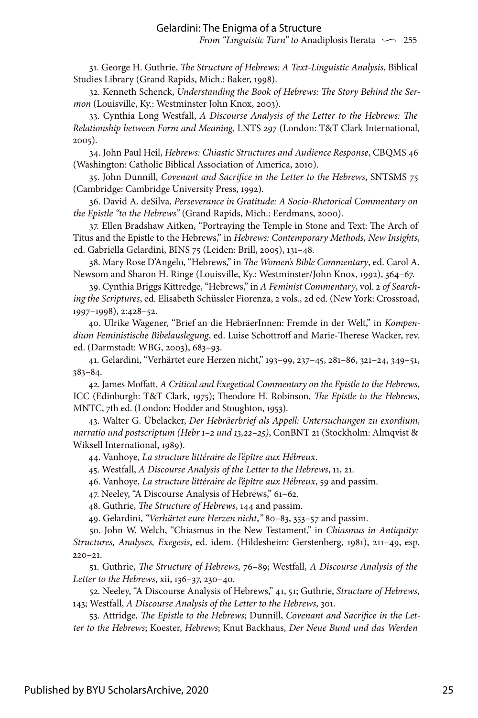31. George H. Guthrie, *The Structure of Hebrews: A Text-Linguistic Analysis*, Biblical Studies Library (Grand Rapids, Mich.: Baker, 1998).

32. Kenneth Schenck, *Understanding the Book of Hebrews: The Story Behind the Sermon* (Louisville, Ky.: Westminster John Knox, 2003).

33. Cynthia Long Westfall, *A Discourse Analysis of the Letter to the Hebrews: The Relationship between Form and Meaning*, LNTS 297 (London: T&T Clark International, 2005).

34. John Paul Heil, *Hebrews: Chiastic Structures and Audience Response*, CBQMS 46 (Washington: Catholic Biblical Association of America, 2010).

35. John Dunnill, *Covenant and Sacrifice in the Letter to the Hebrews*, SNTSMS 75 (Cambridge: Cambridge University Press, 1992).

36. David A. deSilva, *Perseverance in Gratitude: A Socio-Rhetorical Commentary on the Epistle "to the Hebrews"* (Grand Rapids, Mich.: Eerdmans, 2000).

37. Ellen Bradshaw Aitken, "Portraying the Temple in Stone and Text: The Arch of Titus and the Epistle to the Hebrews," in *Hebrews: Contemporary Methods, New Insights*, ed. Gabriella Gelardini, BINS 75 (Leiden: Brill, 2005), 131–48.

38. Mary Rose D'Angelo, "Hebrews," in *The Women's Bible Commentary*, ed. Carol A. Newsom and Sharon H. Ringe (Louisville, Ky.: Westminster/John Knox, 1992), 364–67.

39. Cynthia Briggs Kittredge, "Hebrews," in *A Feminist Commentary*, vol. 2 *of Searching the Scriptures*, ed. Elisabeth Schüssler Fiorenza, 2 vols., 2d ed. (New York: Crossroad, 1997–1998), 2:428–52.

40. Ulrike Wagener, "Brief an die HebräerInnen: Fremde in der Welt," in *Kompendium Feministische Bibelauslegung*, ed. Luise Schottroff and Marie-Therese Wacker, rev. ed. (Darmstadt: WBG, 2003), 683–93.

41. Gelardini, "Verhärtet eure Herzen nicht," 193–99, 237–45, 281–86, 321–24, 349–51, 383–84.

42. James Moffatt, *A Critical and Exegetical Commentary on the Epistle to the Hebrews*, ICC (Edinburgh: T&T Clark, 1975); Theodore H. Robinson, *The Epistle to the Hebrews*, MNTC, 7th ed. (London: Hodder and Stoughton, 1953).

43. Walter G. Übelacker, *Der Hebräerbrief als Appell: Untersuchungen zu exordium, narratio und postscriptum (Hebr 1–2 und 13,22–25)*, ConBNT 21 (Stockholm: Almqvist & Wiksell International, 1989).

44. Vanhoye, *La structure littéraire de l'épître aux Hébreux*.

45. Westfall, *A Discourse Analysis of the Letter to the Hebrews*, 11, 21.

46. Vanhoye, *La structure littéraire de l'épître aux Hébreux*, 59 and passim.

47. Neeley, "A Discourse Analysis of Hebrews," 61–62.

48. Guthrie, *The Structure of Hebrews*, 144 and passim.

49. Gelardini, *"Verhärtet eure Herzen nicht*,*"* 80–83, 353–57 and passim.

50. John W. Welch, "Chiasmus in the New Testament," in *Chiasmus in Antiquity: Structures, Analyses, Exegesis*, ed. idem. (Hildesheim: Gerstenberg, 1981), 211–49, esp.  $220 - 21.$ 

51. Guthrie, *The Structure of Hebrews*, 76–89; Westfall, *A Discourse Analysis of the Letter to the Hebrews*, xii, 136–37, 230–40.

52. Neeley, "A Discourse Analysis of Hebrews," 41, 51; Guthrie, *Structure of Hebrews*, 143; Westfall, *A Discourse Analysis of the Letter to the Hebrews*, 301.

53. Attridge, *The Epistle to the Hebrews*; Dunnill, *Covenant and Sacrifice in the Letter to the Hebrews*; Koester, *Hebrews*; Knut Backhaus, *Der Neue Bund und das Werden*